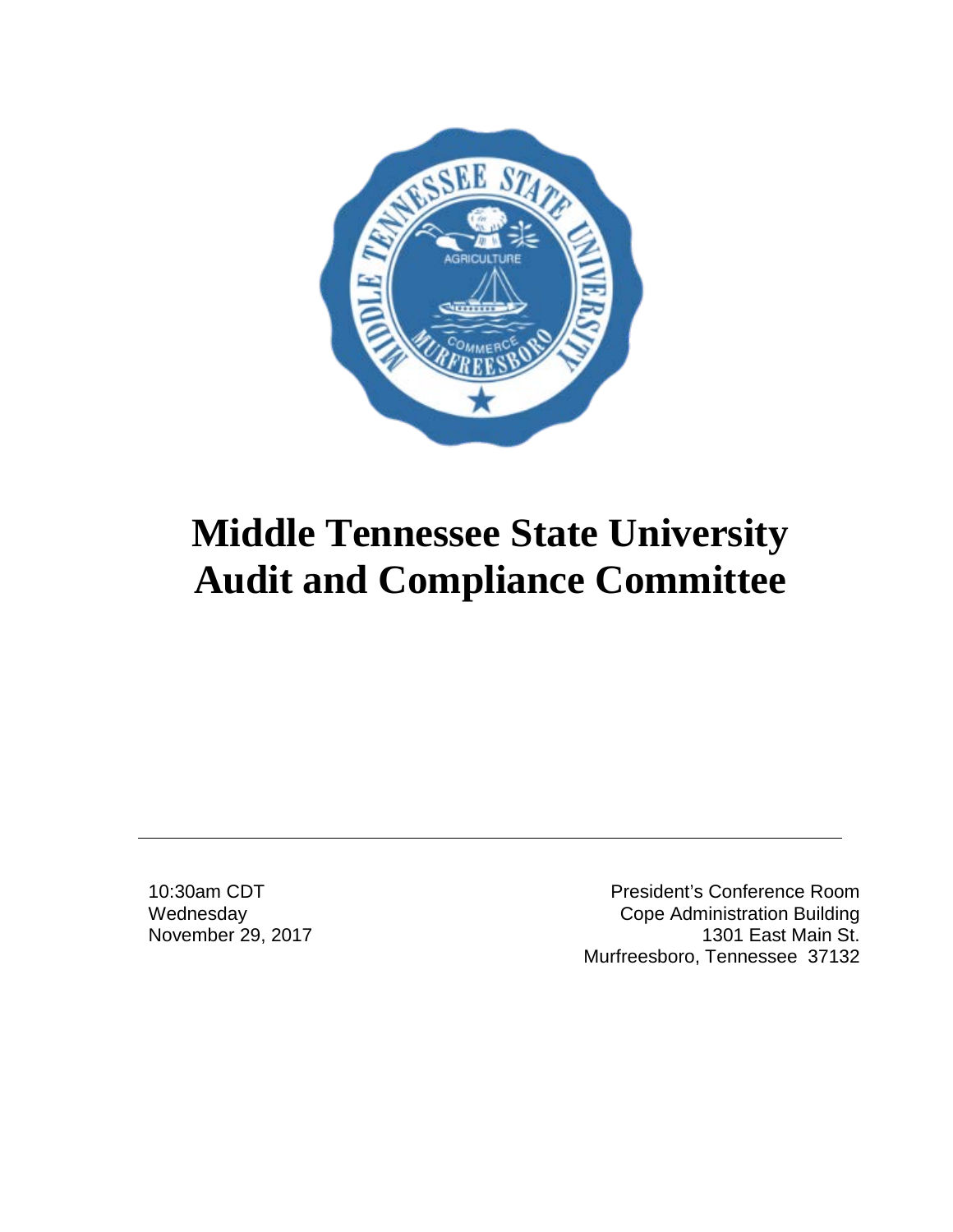

10:30am CDT Wednesday November 29, 2017

President's Conference Room Cope Administration Building 1301 East Main St. Murfreesboro, Tennessee 37132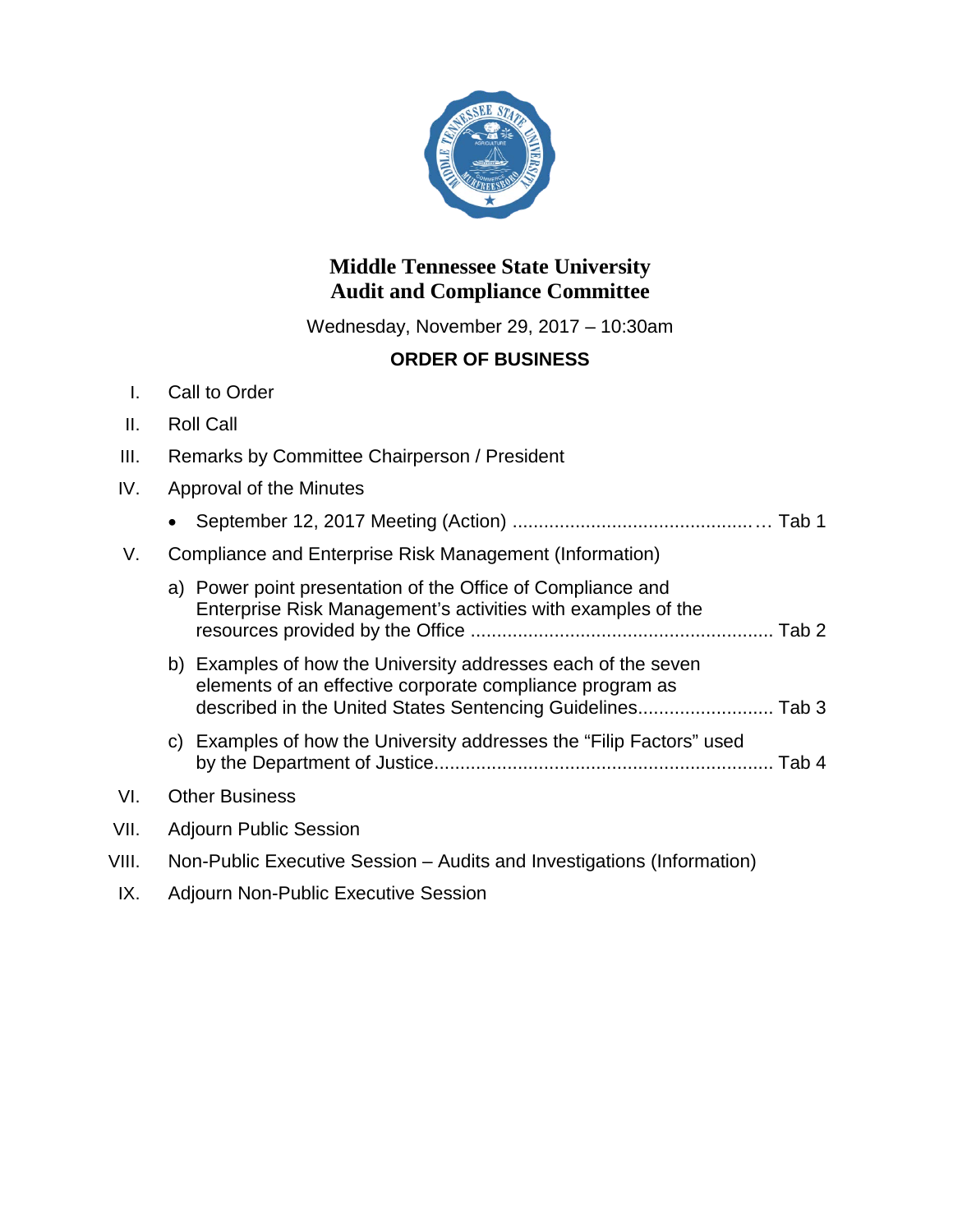

Wednesday, November 29, 2017 – 10:30am

#### **ORDER OF BUSINESS**

- I. Call to Order
- II. Roll Call
- III. Remarks by Committee Chairperson / President
- IV. Approval of the Minutes
	- September 12, 2017 Meeting (Action) ..............................................… Tab 1

#### V. Compliance and Enterprise Risk Management (Information)

| a) Power point presentation of the Office of Compliance and<br>Enterprise Risk Management's activities with examples of the |  |
|-----------------------------------------------------------------------------------------------------------------------------|--|
| b) Examples of how the University addresses each of the seven<br>elements of an effective corporate compliance program as   |  |
| c) Examples of how the University addresses the "Filip Factors" used                                                        |  |

- by the Department of Justice................................................................. Tab 4
- VI. Other Business
- VII. Adjourn Public Session
- VIII. Non-Public Executive Session Audits and Investigations (Information)
- IX. Adjourn Non-Public Executive Session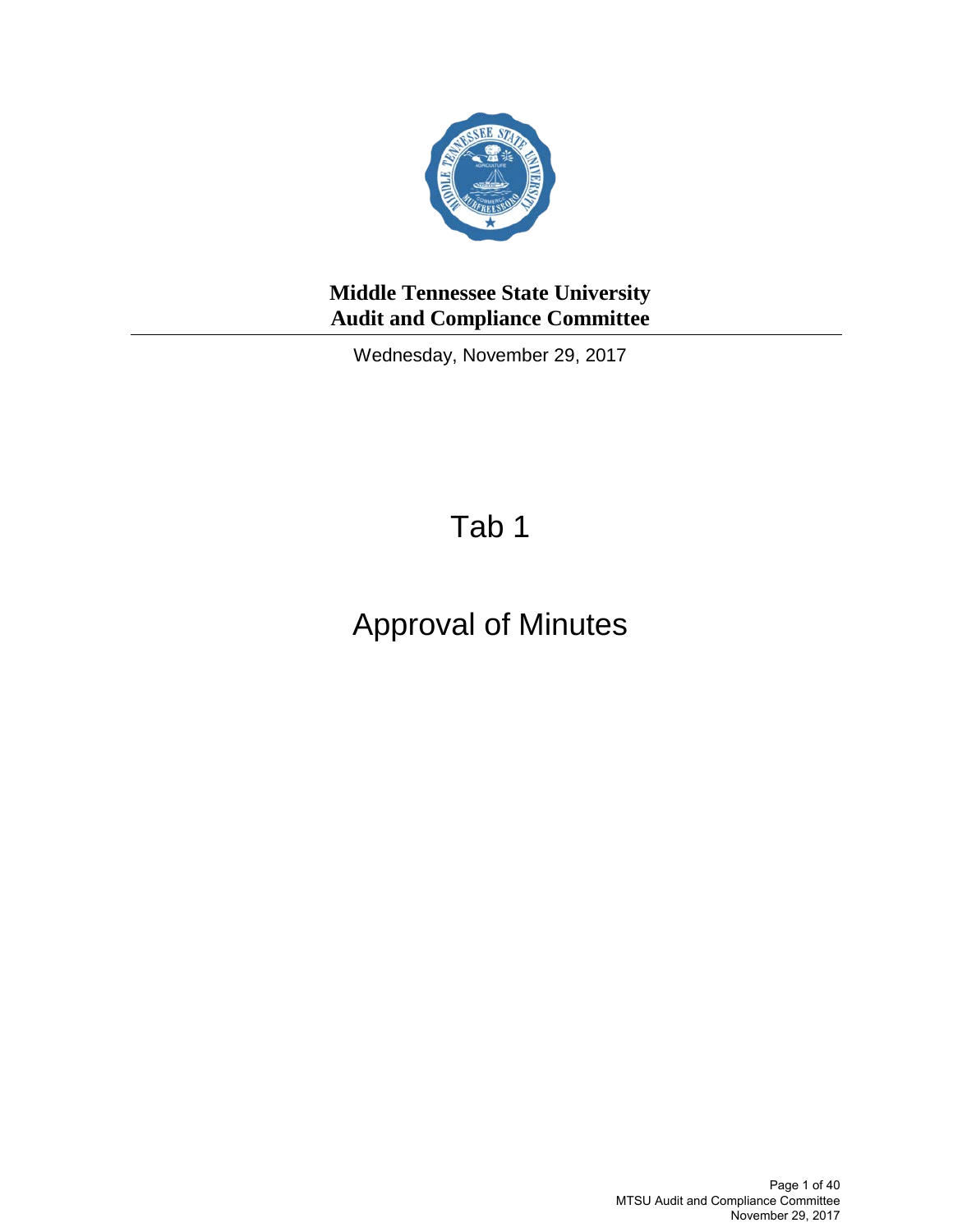

Wednesday, November 29, 2017

# Tab 1

# Approval of Minutes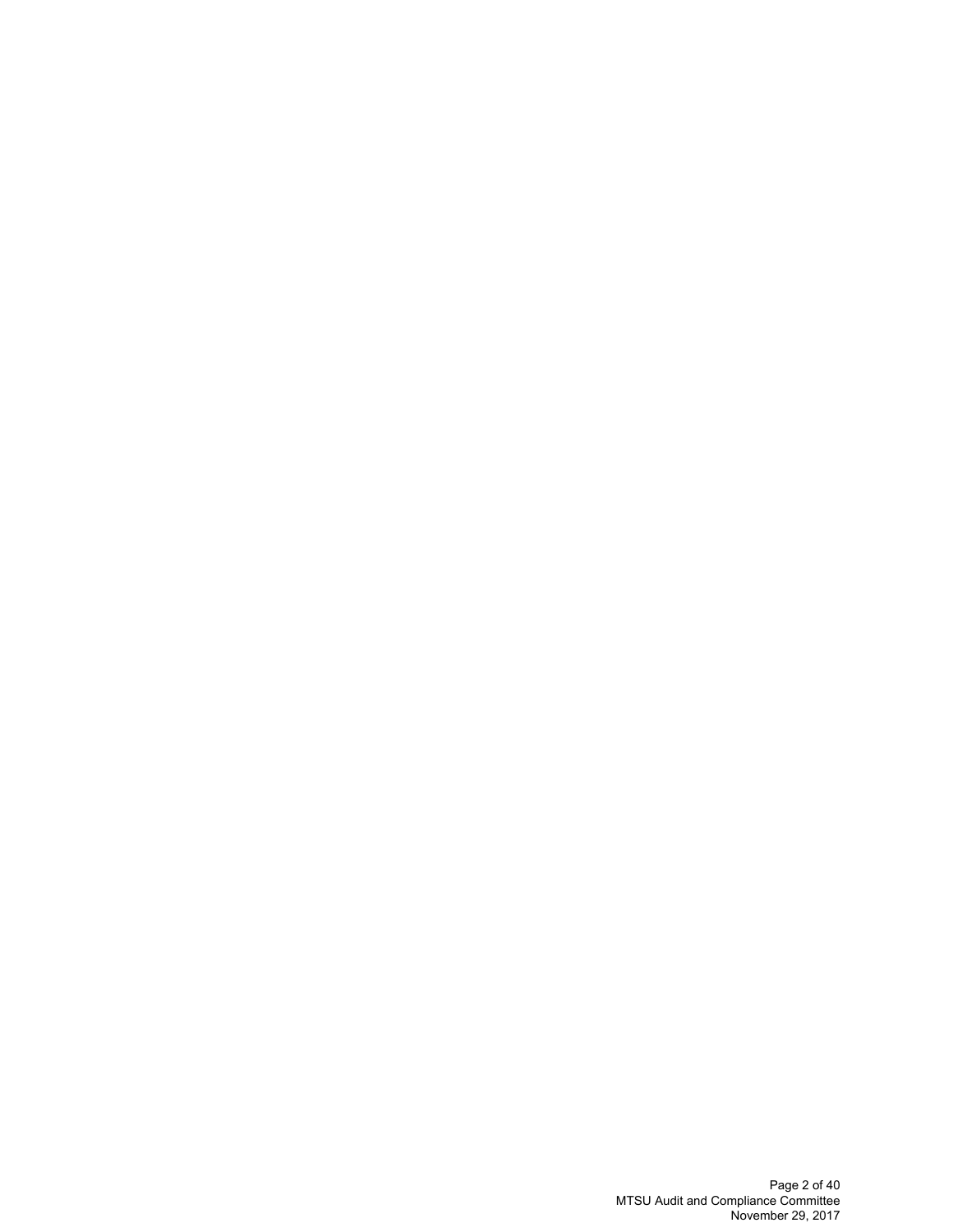Page 2 of 40 MTSU Audit and Compliance Committee November 29, 2017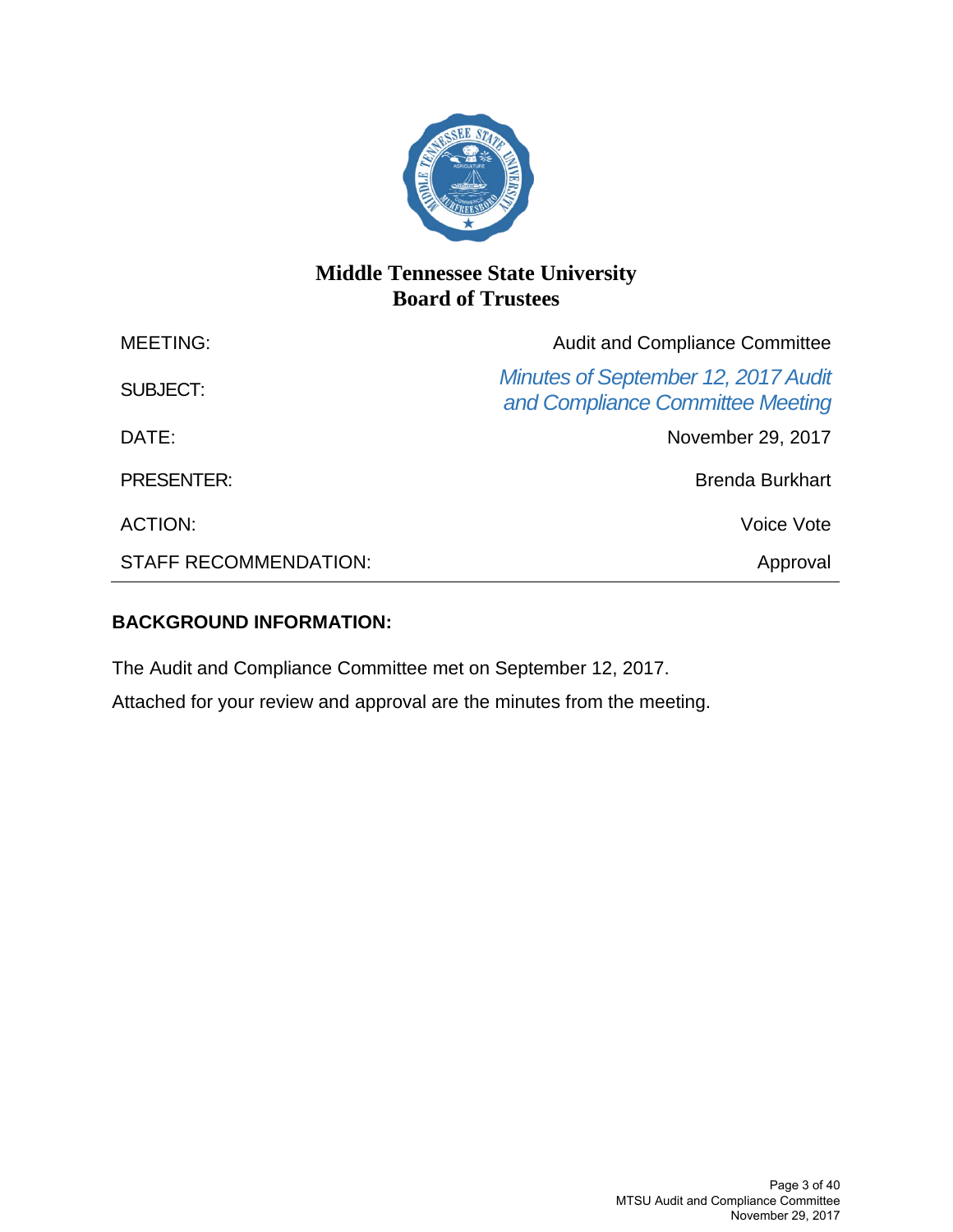

#### **Middle Tennessee State University Board of Trustees**

| <b>MEETING:</b>              | <b>Audit and Compliance Committee</b>                                   |
|------------------------------|-------------------------------------------------------------------------|
| <b>SUBJECT:</b>              | Minutes of September 12, 2017 Audit<br>and Compliance Committee Meeting |
| DATE:                        | November 29, 2017                                                       |
| <b>PRESENTER:</b>            | <b>Brenda Burkhart</b>                                                  |
| ACTION:                      | Voice Vote                                                              |
| <b>STAFF RECOMMENDATION:</b> | Approval                                                                |

#### **BACKGROUND INFORMATION:**

The Audit and Compliance Committee met on September 12, 2017.

Attached for your review and approval are the minutes from the meeting.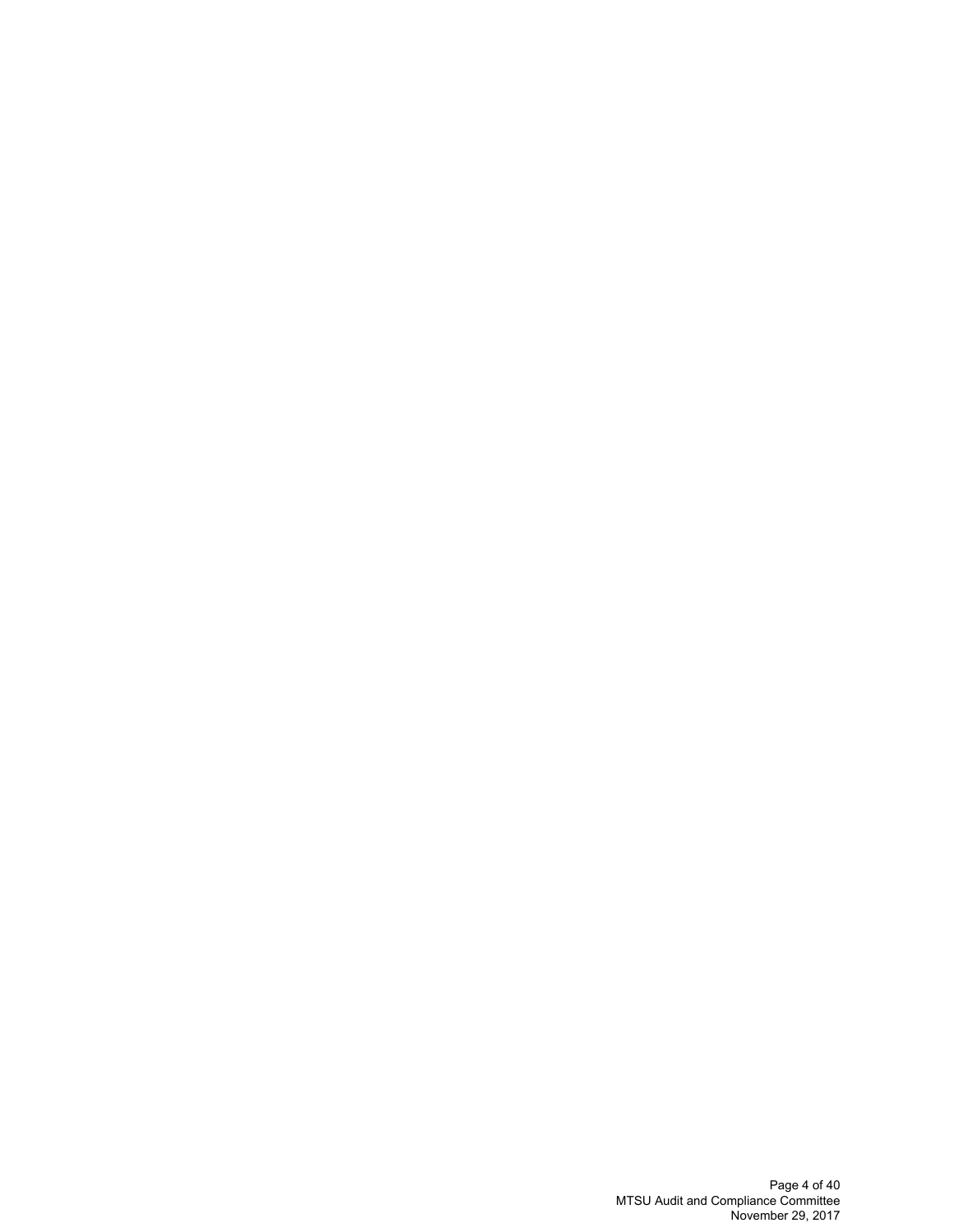Page 4 of 40 MTSU Audit and Compliance Committee November 29, 2017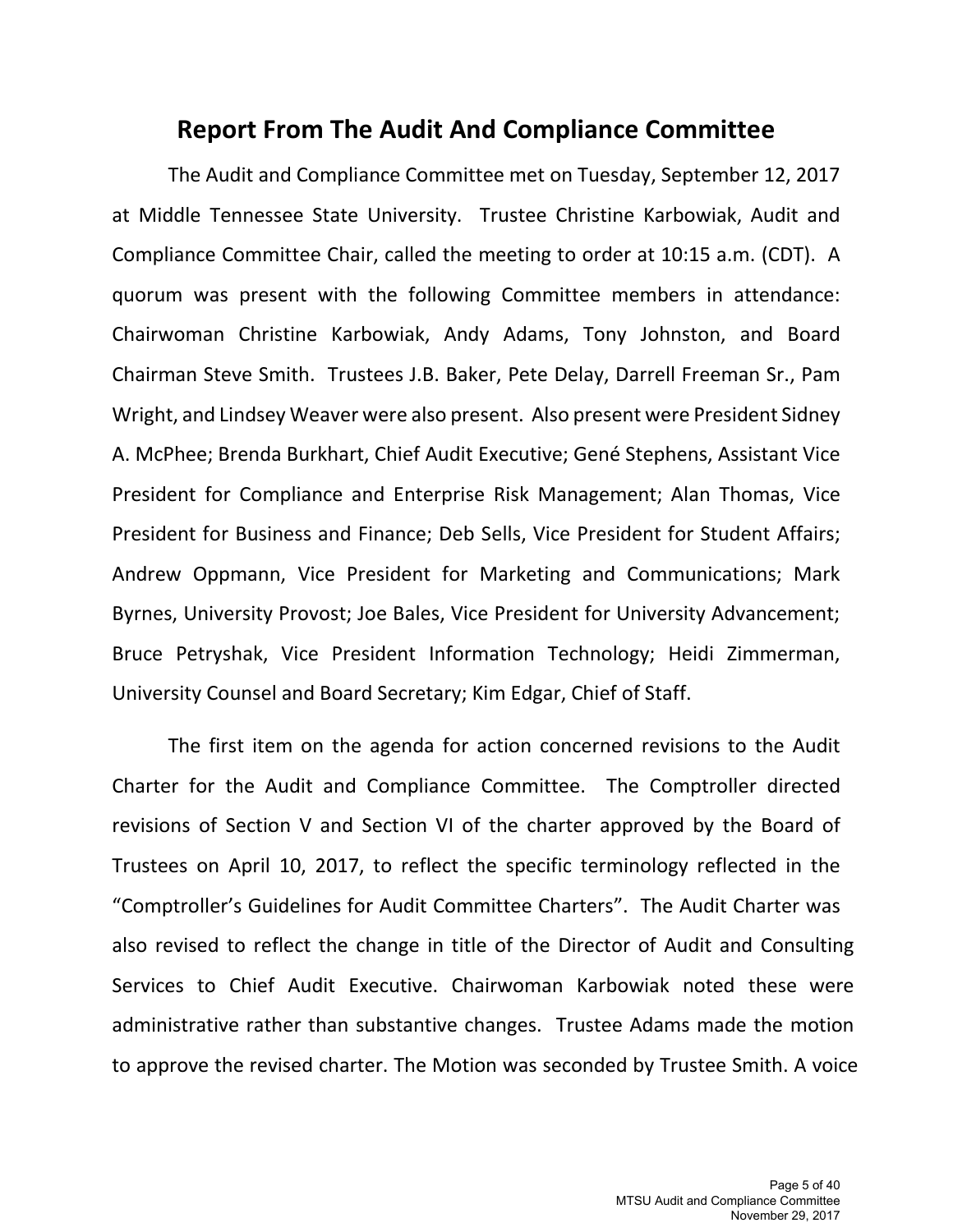#### **Report From The Audit And Compliance Committee**

The Audit and Compliance Committee met on Tuesday, September 12, 2017 at Middle Tennessee State University. Trustee Christine Karbowiak, Audit and Compliance Committee Chair, called the meeting to order at 10:15 a.m. (CDT). A quorum was present with the following Committee members in attendance: Chairwoman Christine Karbowiak, Andy Adams, Tony Johnston, and Board Chairman Steve Smith. Trustees J.B. Baker, Pete Delay, Darrell Freeman Sr., Pam Wright, and Lindsey Weaver were also present. Also present were President Sidney A. McPhee; Brenda Burkhart, Chief Audit Executive; Gené Stephens, Assistant Vice President for Compliance and Enterprise Risk Management; Alan Thomas, Vice President for Business and Finance; Deb Sells, Vice President for Student Affairs; Andrew Oppmann, Vice President for Marketing and Communications; Mark Byrnes, University Provost; Joe Bales, Vice President for University Advancement; Bruce Petryshak, Vice President Information Technology; Heidi Zimmerman, University Counsel and Board Secretary; Kim Edgar, Chief of Staff.

The first item on the agenda for action concerned revisions to the Audit Charter for the Audit and Compliance Committee. The Comptroller directed revisions of Section V and Section VI of the charter approved by the Board of Trustees on April 10, 2017, to reflect the specific terminology reflected in the "Comptroller's Guidelines for Audit Committee Charters". The Audit Charter was also revised to reflect the change in title of the Director of Audit and Consulting Services to Chief Audit Executive. Chairwoman Karbowiak noted these were administrative rather than substantive changes. Trustee Adams made the motion to approve the revised charter. The Motion was seconded by Trustee Smith. A voice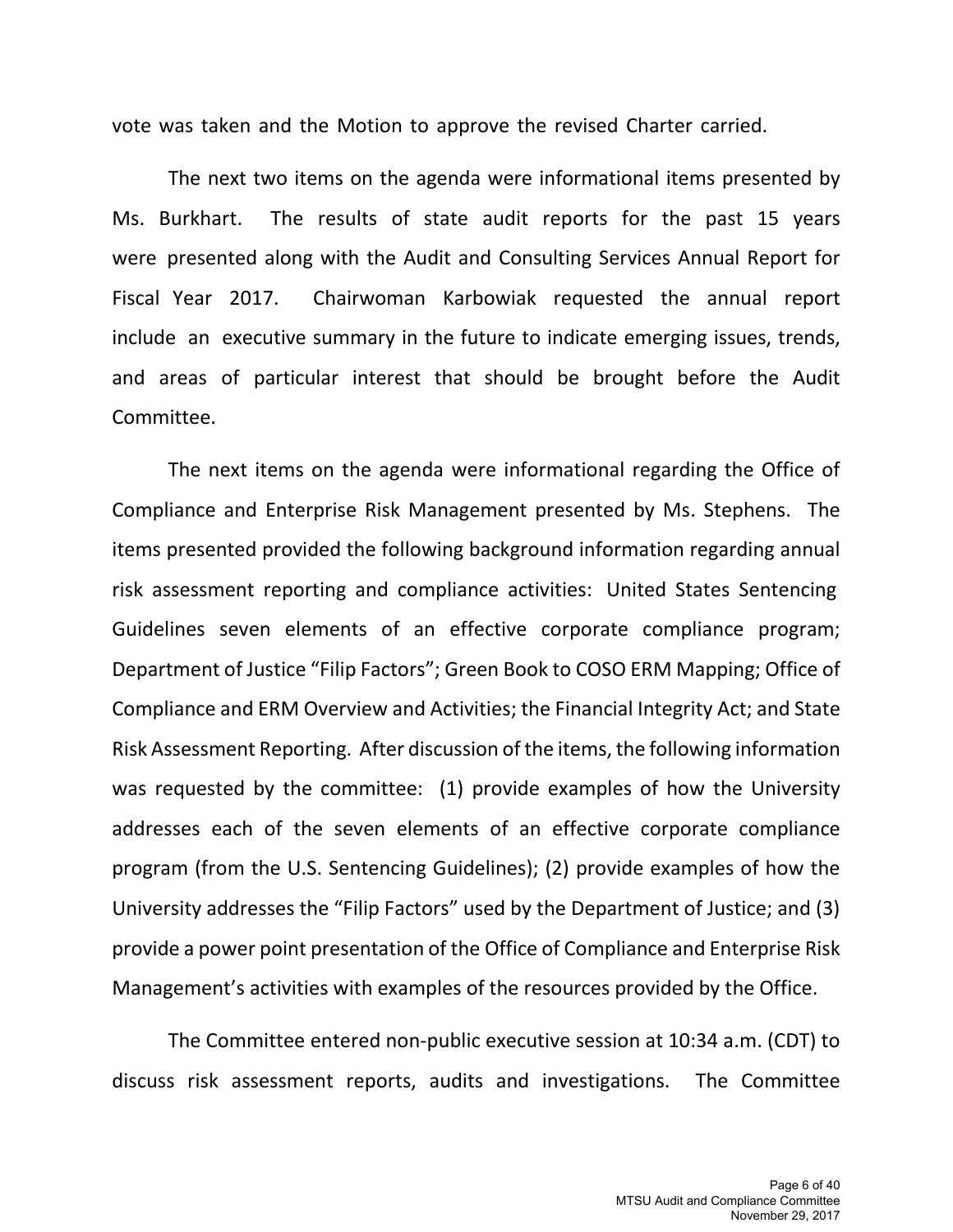vote was taken and the Motion to approve the revised Charter carried.

The next two items on the agenda were informational items presented by Ms. Burkhart. The results of state audit reports for the past 15 years were presented along with the Audit and Consulting Services Annual Report for Fiscal Year 2017. Chairwoman Karbowiak requested the annual report include an executive summary in the future to indicate emerging issues, trends, and areas of particular interest that should be brought before the Audit Committee.

The next items on the agenda were informational regarding the Office of Compliance and Enterprise Risk Management presented by Ms. Stephens. The items presented provided the following background information regarding annual risk assessment reporting and compliance activities: United States Sentencing Guidelines seven elements of an effective corporate compliance program; Department of Justice "Filip Factors"; Green Book to COSO ERM Mapping; Office of Compliance and ERM Overview and Activities; the Financial Integrity Act; and State Risk Assessment Reporting. After discussion of the items, the following information was requested by the committee: (1) provide examples of how the University addresses each of the seven elements of an effective corporate compliance program (from the U.S. Sentencing Guidelines); (2) provide examples of how the University addresses the "Filip Factors" used by the Department of Justice; and (3) provide a power point presentation of the Office of Compliance and Enterprise Risk Management's activities with examples of the resources provided by the Office.

The Committee entered non-public executive session at 10:34 a.m. (CDT) to discuss risk assessment reports, audits and investigations. The Committee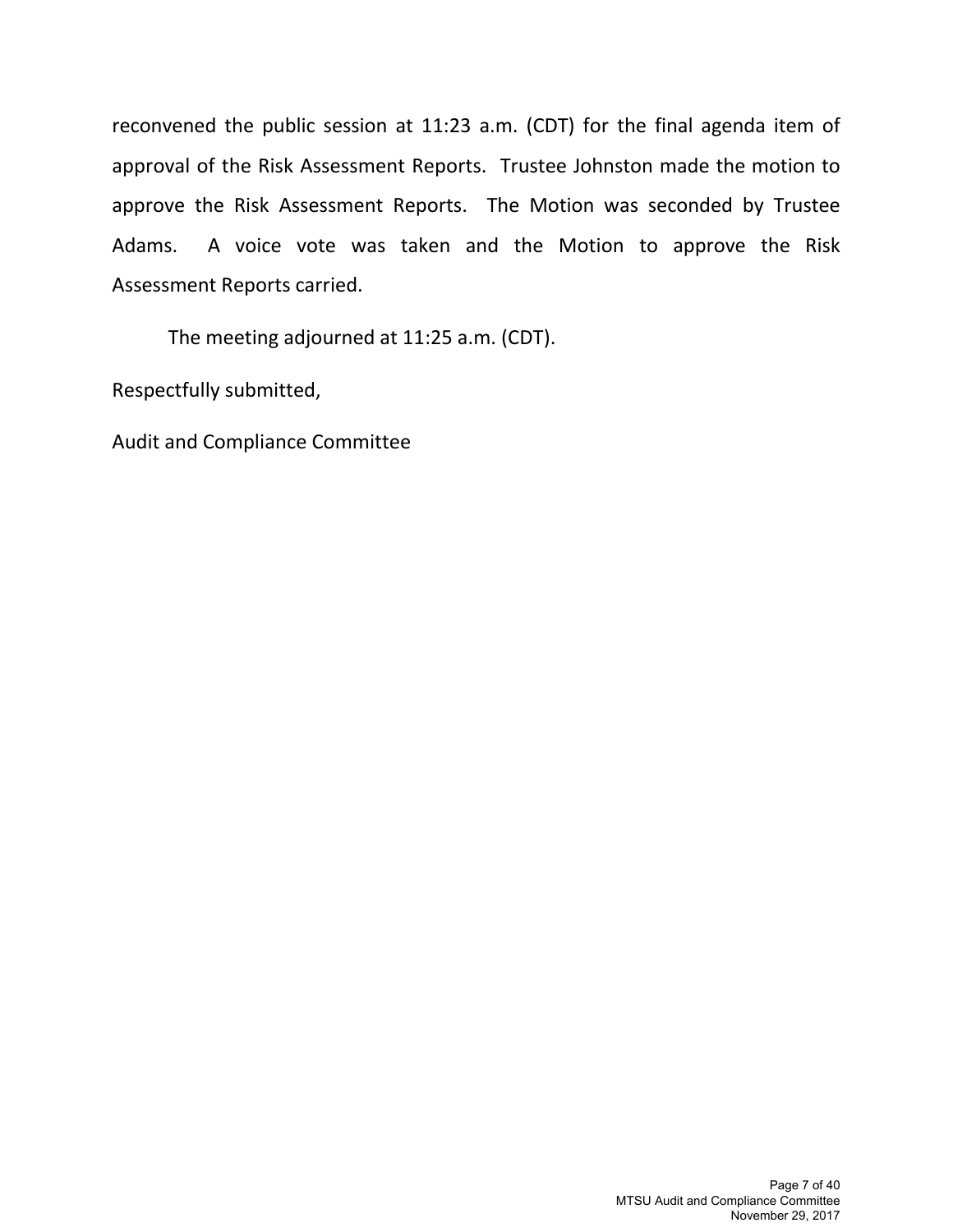reconvened the public session at 11:23 a.m. (CDT) for the final agenda item of approval of the Risk Assessment Reports. Trustee Johnston made the motion to approve the Risk Assessment Reports. The Motion was seconded by Trustee Adams. A voice vote was taken and the Motion to approve the Risk Assessment Reports carried.

The meeting adjourned at 11:25 a.m. (CDT).

Respectfully submitted,

Audit and Compliance Committee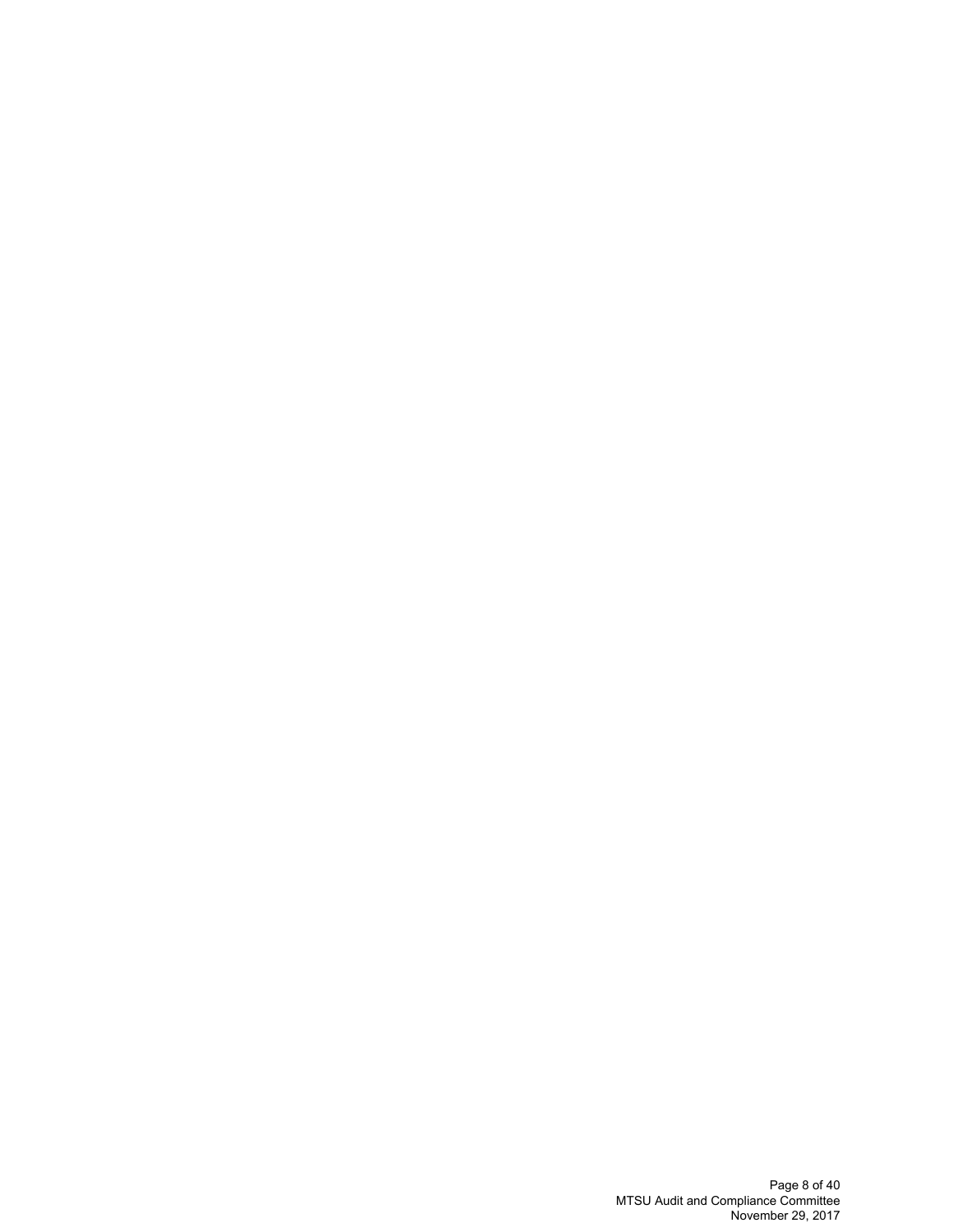Page 8 of 40 MTSU Audit and Compliance Committee November 29, 2017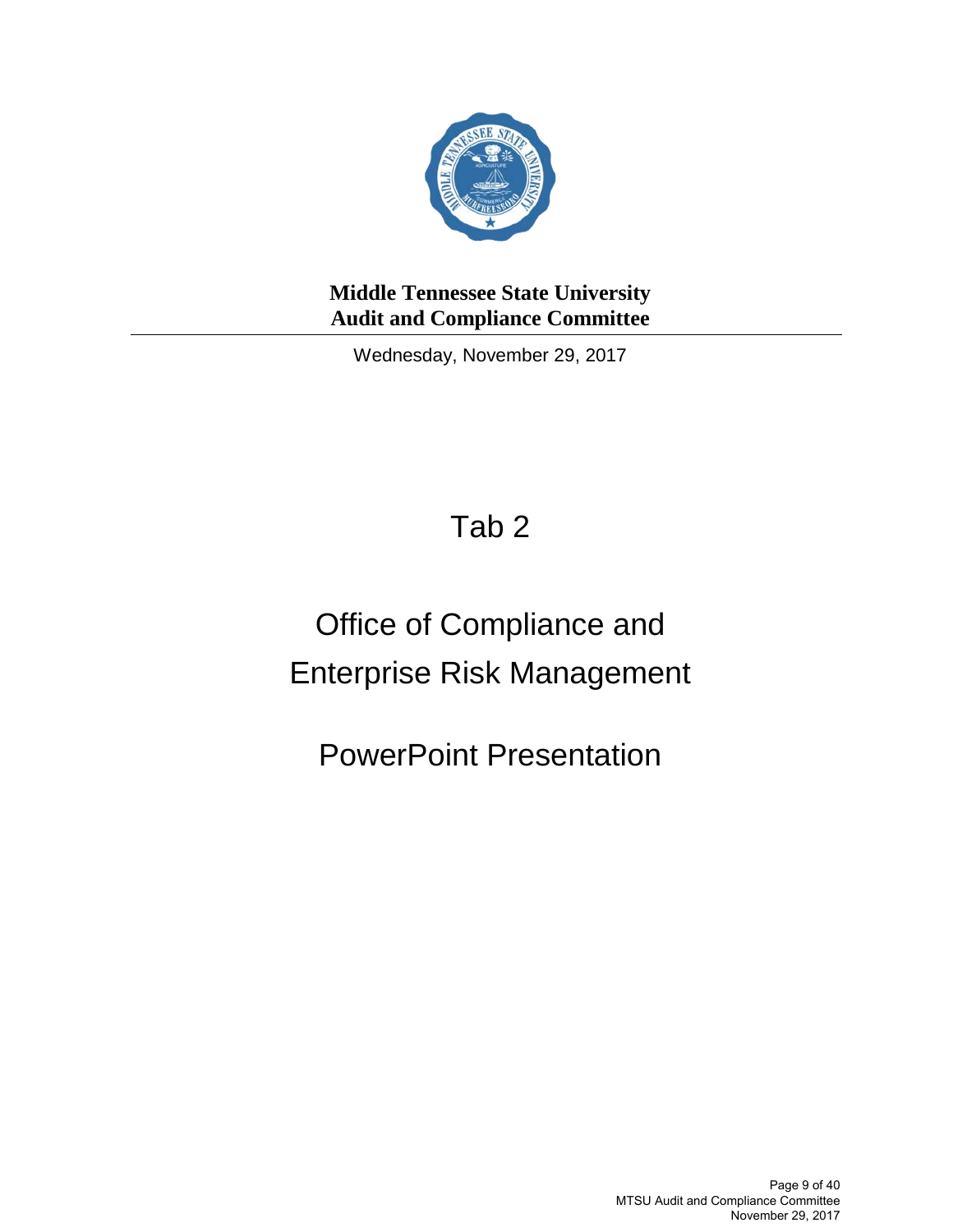

Wednesday, November 29, 2017

# Tab 2

Office of Compliance and Enterprise Risk Management

PowerPoint Presentation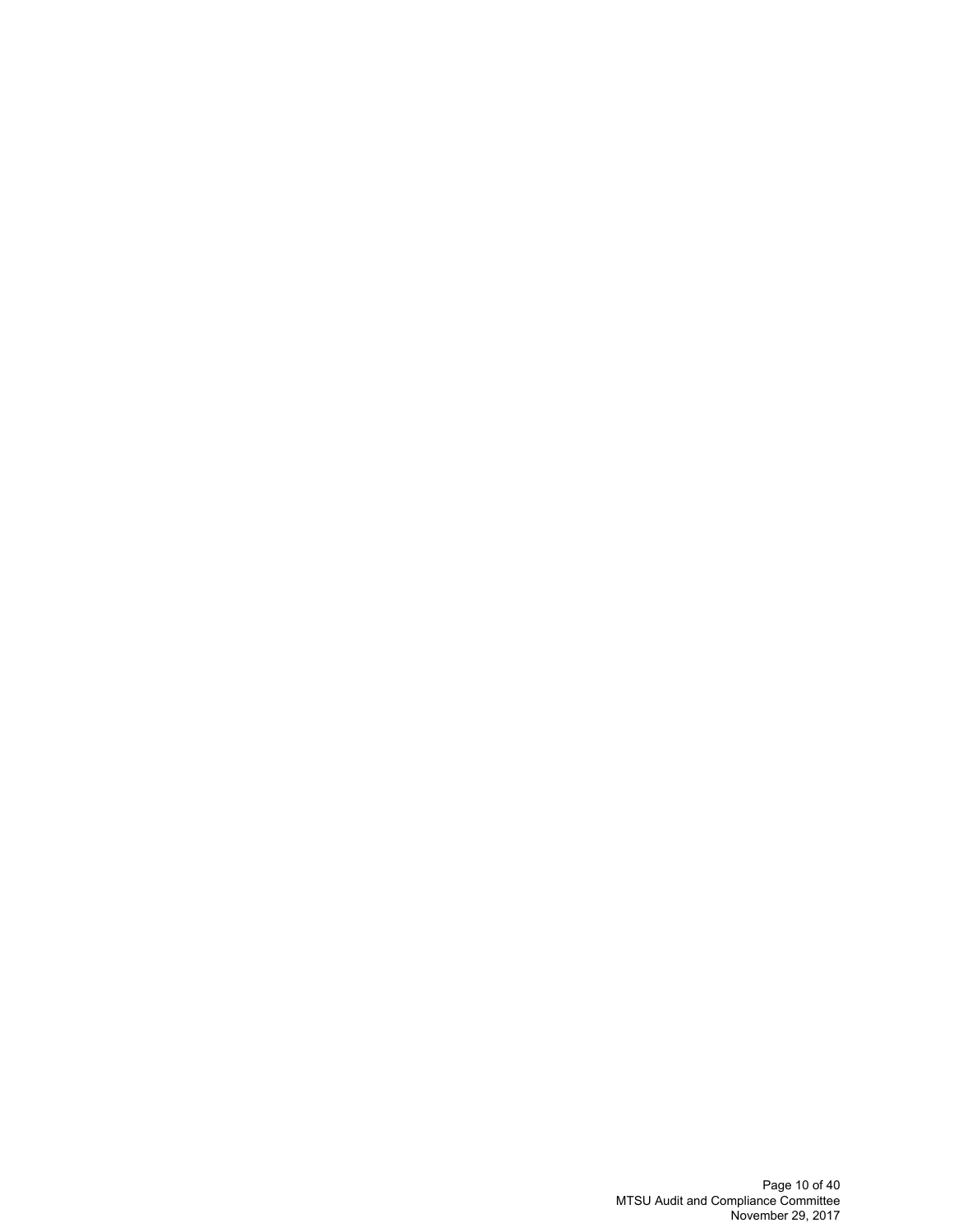Page 10 of 40 MTSU Audit and Compliance Committee November 29, 2017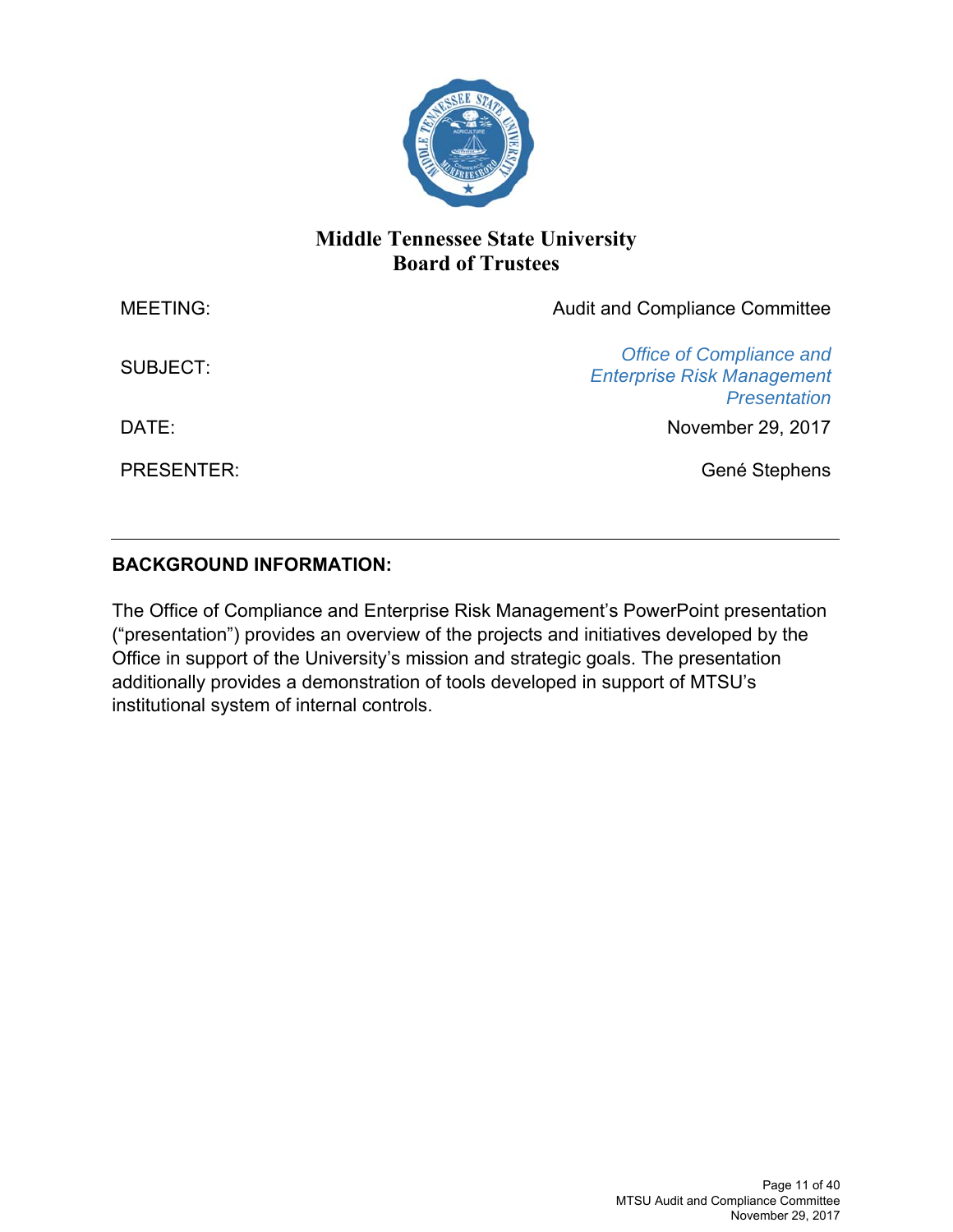

#### **Middle Tennessee State University Board of Trustees**

MEETING: MEETING:

| SUBJECT: |  |  |
|----------|--|--|
|          |  |  |
|          |  |  |

**Office of Compliance and** *Enterprise Risk Management Presentation*  DATE: November 29, 2017

PRESENTER: Gené Stephens

#### **BACKGROUND INFORMATION:**

The Office of Compliance and Enterprise Risk Management's PowerPoint presentation ("presentation") provides an overview of the projects and initiatives developed by the Office in support of the University's mission and strategic goals. The presentation additionally provides a demonstration of tools developed in support of MTSU's institutional system of internal controls.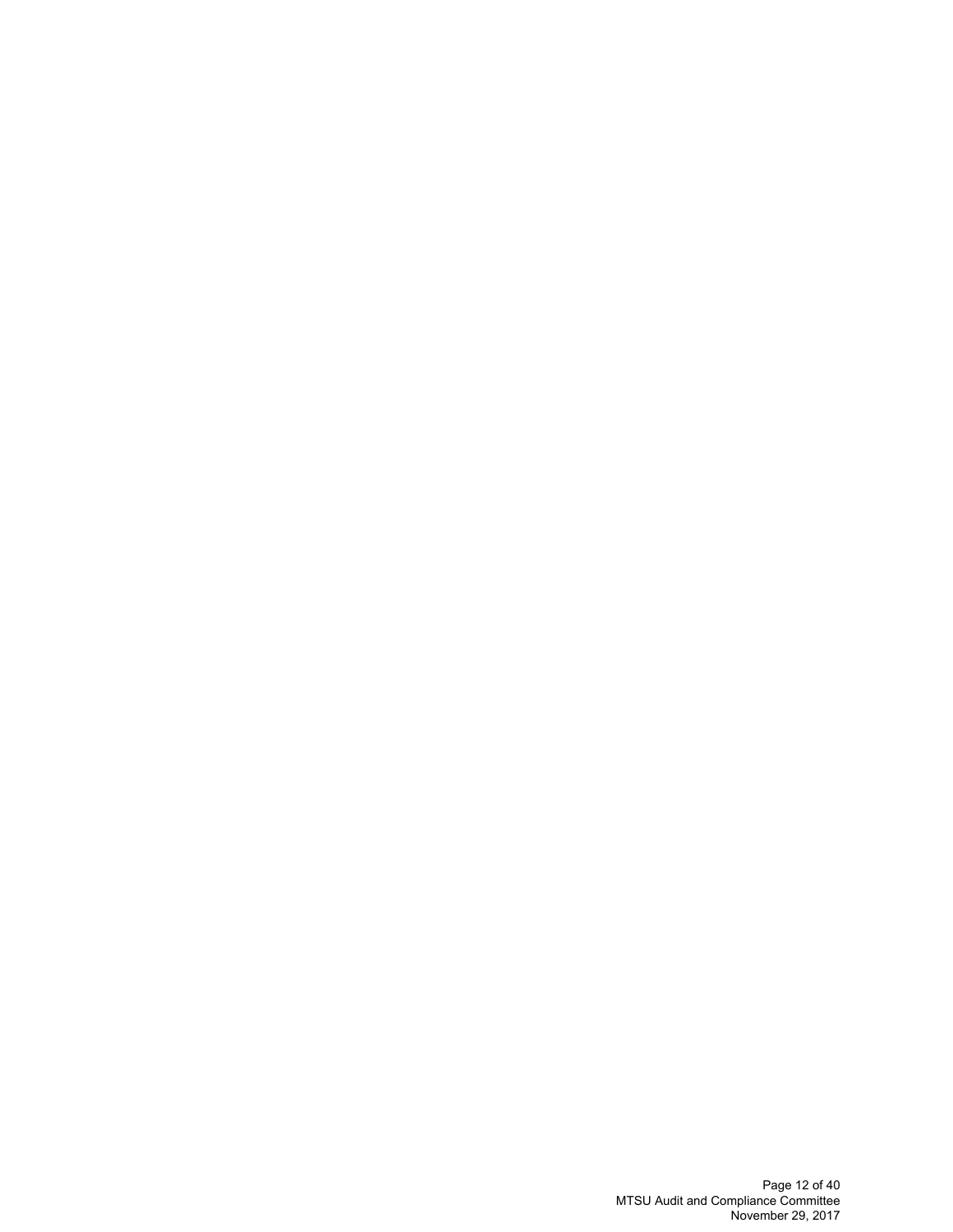Page 12 of 40 MTSU Audit and Compliance Committee November 29, 2017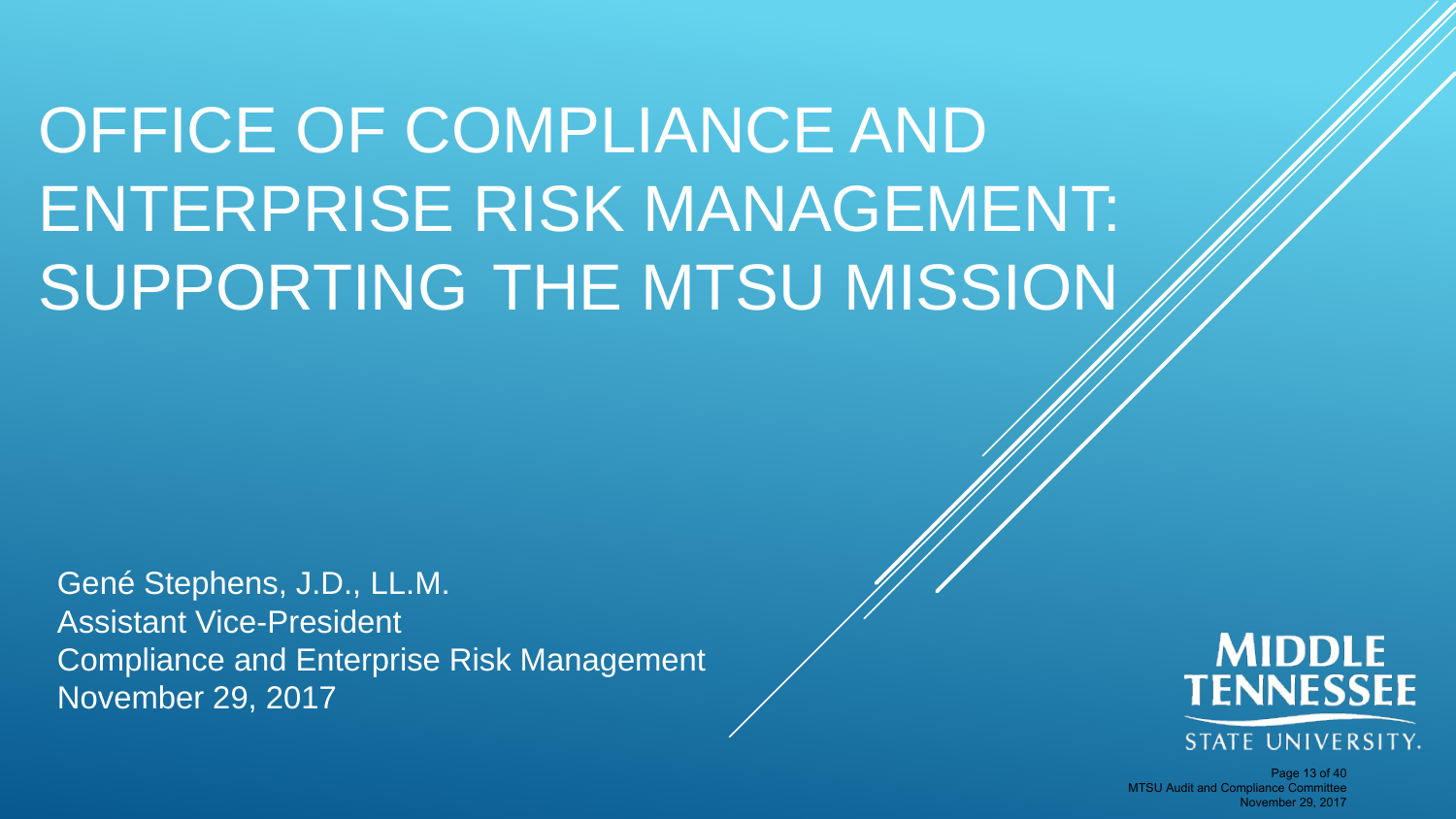# OFFICE OF COMPLIANCE AND ENTERPRISE RISK MANAGEMENT: SUPPORTING THE MTSU MISSION

Gené Stephens, J.D., LL.M. Assistant Vice-President Compliance and Enterprise Risk Management November 29, 2017



Page 13 of 40 **MTSU Audit and Compliance Core** November 29, 2017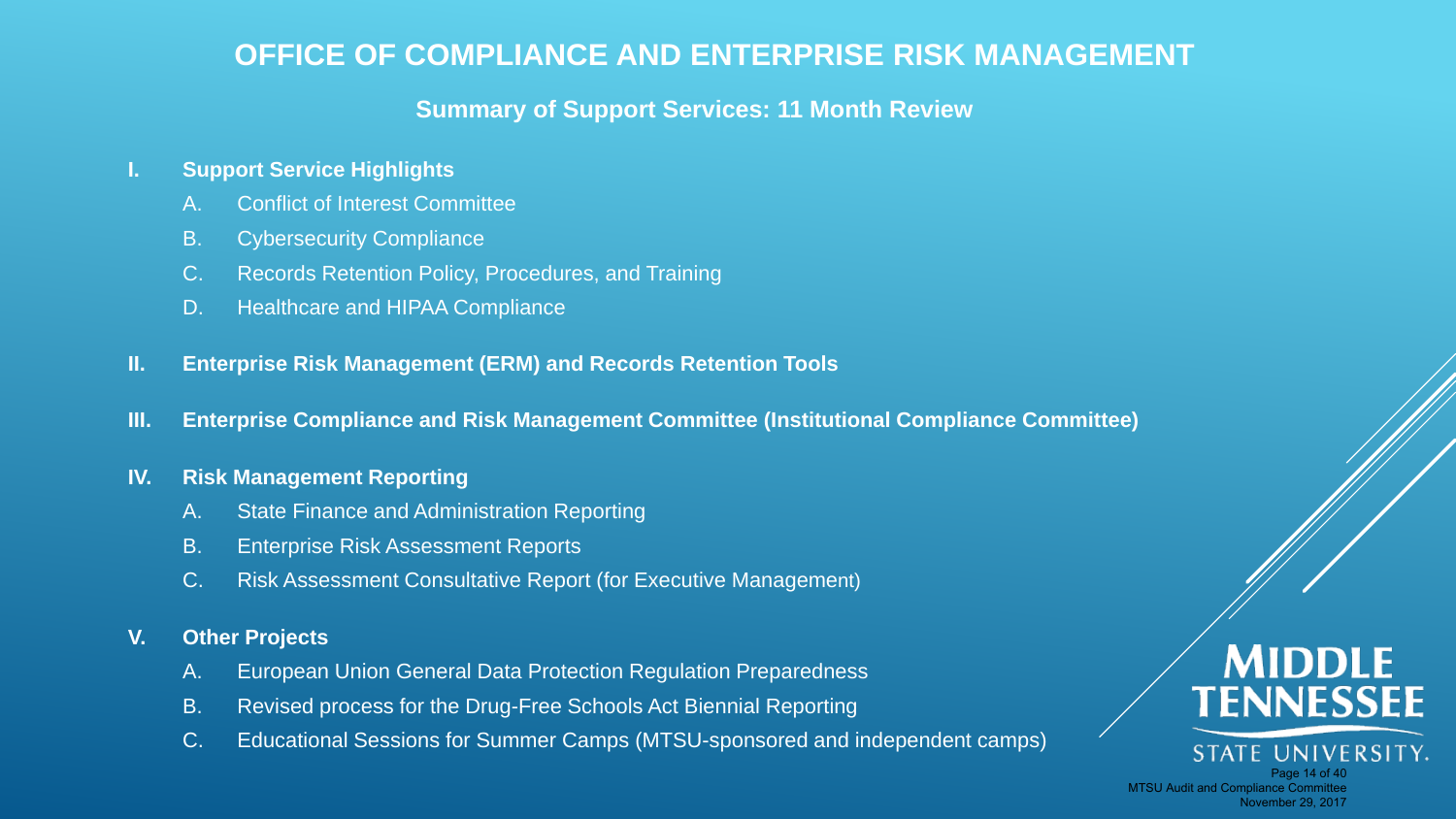### **OFFICE OF COMPLIANCE AND ENTERPRISE RISK MANAGEMENT**

#### **Summary of Support Services: 11 Month Review**

- **I. Support Service Highlights**
	- A. Conflict of Interest Committee
	- B. Cybersecurity Compliance
	- C. Records Retention Policy, Procedures, and Training
	- D. Healthcare and HIPAA Compliance
- **II. Enterprise Risk Management (ERM) and Records Retention Tools**
- **III. Enterprise Compliance and Risk Management Committee (Institutional Compliance Committee)**

#### **IV. Risk Management Reporting**

- A. State Finance and Administration Reporting
- B. Enterprise Risk Assessment Reports
- C. Risk Assessment Consultative Report (for Executive Management)

#### **V. Other Projects**

- A. European Union General Data Protection Regulation Preparedness
- B. Revised process for the Drug-Free Schools Act Biennial Reporting
- C. Educational Sessions for Summer Camps (MTSU-sponsored and independent camps)

# **MIDDLE TENNESSEE**

#### STATE UNIVERSITY. Page 14 of 40

**MTSU Audit and Compliance C** November 29, 2017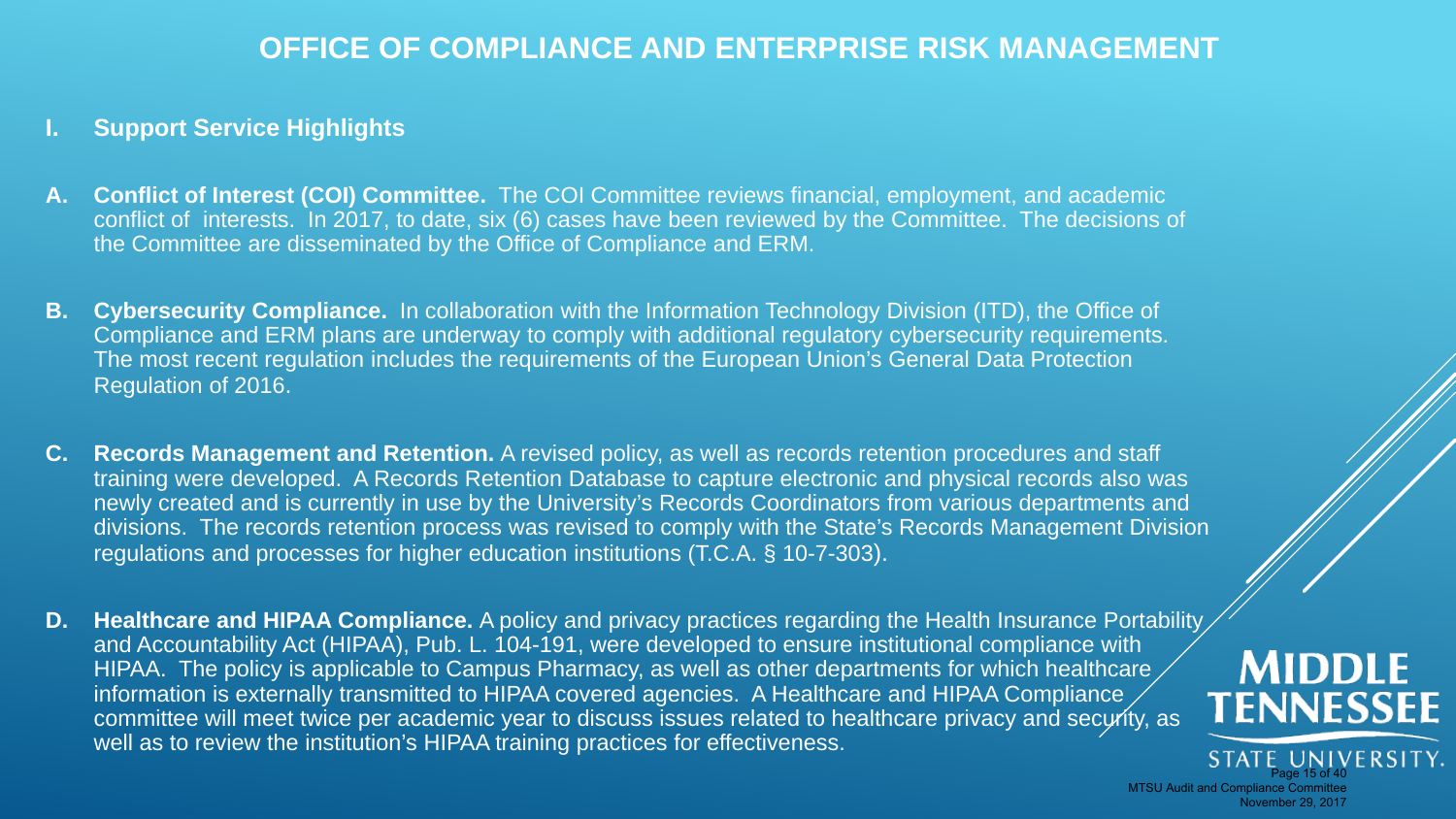#### **I. Support Service Highlights**

- **A. Conflict of Interest (COI) Committee.** The COI Committee reviews financial, employment, and academic conflict of interests. In 2017, to date, six (6) cases have been reviewed by the Committee. The decisions of the Committee are disseminated by the Office of Compliance and ERM.
- **B. Cybersecurity Compliance.** In collaboration with the Information Technology Division (ITD), the Office of Compliance and ERM plans are underway to comply with additional regulatory cybersecurity requirements. The most recent regulation includes the requirements of the European Union's General Data Protection Regulation of 2016.
- **C. Records Management and Retention.** A revised policy, as well as records retention procedures and staff training were developed. A Records Retention Database to capture electronic and physical records also was newly created and is currently in use by the University's Records Coordinators from various departments and divisions. The records retention process was revised to comply with the State's Records Management Division regulations and processes for higher education institutions (T.C.A. § 10-7-303).
- **D. Healthcare and HIPAA Compliance.** A policy and privacy practices regarding the Health Insurance Portability and Accountability Act (HIPAA), Pub. L. 104-191, were developed to ensure institutional compliance with HIPAA. The policy is applicable to Campus Pharmacy, as well as other departments for which healthcare information is externally transmitted to HIPAA covered agencies. A Healthcare and HIPAA Compliance committee will meet twice per academic year to discuss issues related to healthcare privacy and security, as well as to review the institution's HIPAA training practices for effectiveness. STATE UNIVERSITY.

**MIDDLE TENNESSEE** 

Page 15 of 40 **MTSU Audit and Compliance** November 29, 2017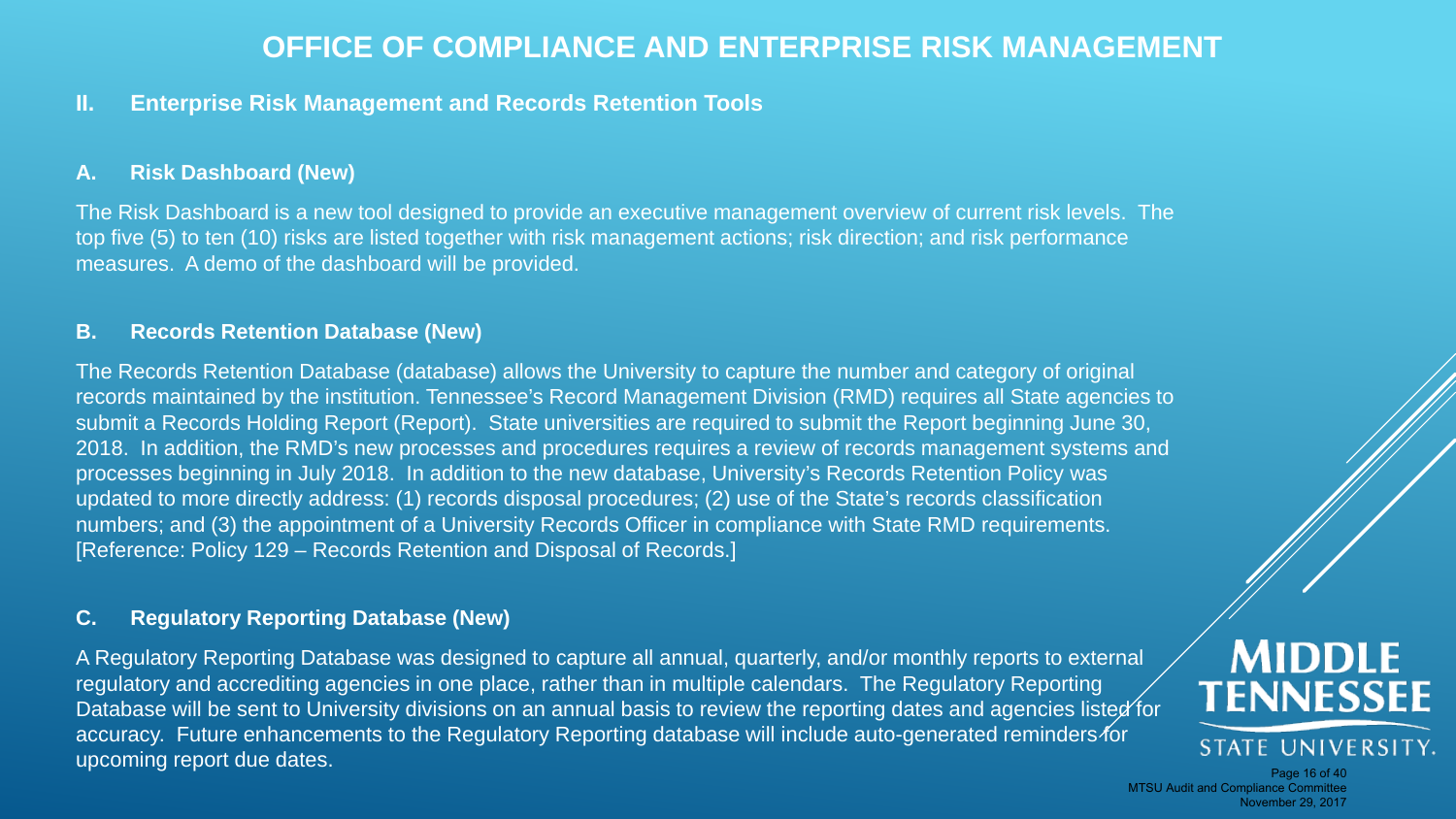### **OFFICE OF COMPLIANCE AND ENTERPRISE RISK MANAGEMENT**

#### **II. Enterprise Risk Management and Records Retention Tools**

#### **A. Risk Dashboard (New)**

The Risk Dashboard is a new tool designed to provide an executive management overview of current risk levels. The top five (5) to ten (10) risks are listed together with risk management actions; risk direction; and risk performance measures. A demo of the dashboard will be provided.

#### **B. Records Retention Database (New)**

The Records Retention Database (database) allows the University to capture the number and category of original records maintained by the institution. Tennessee's Record Management Division (RMD) requires all State agencies to submit a Records Holding Report (Report). State universities are required to submit the Report beginning June 30, 2018. In addition, the RMD's new processes and procedures requires a review of records management systems and processes beginning in July 2018. In addition to the new database, University's Records Retention Policy was updated to more directly address: (1) records disposal procedures; (2) use of the State's records classification numbers; and (3) the appointment of a University Records Officer in compliance with State RMD requirements. [Reference: Policy 129 – Records Retention and Disposal of Records.]

#### **C. Regulatory Reporting Database (New)**

A Regulatory Reporting Database was designed to capture all annual, quarterly, and/or monthly reports to external regulatory and accrediting agencies in one place, rather than in multiple calendars. The Regulatory Reporting Database will be sent to University divisions on an annual basis to review the reporting dates and agencies listed for accuracy. Future enhancements to the Regulatory Reporting database will include auto-generated reminders for upcoming report due dates.

**MIDDLE TENNESSEE STATE UNIVERSITY.** 

Page 16 of 40 MTSU Audit and Compliance Committee November 29, 2017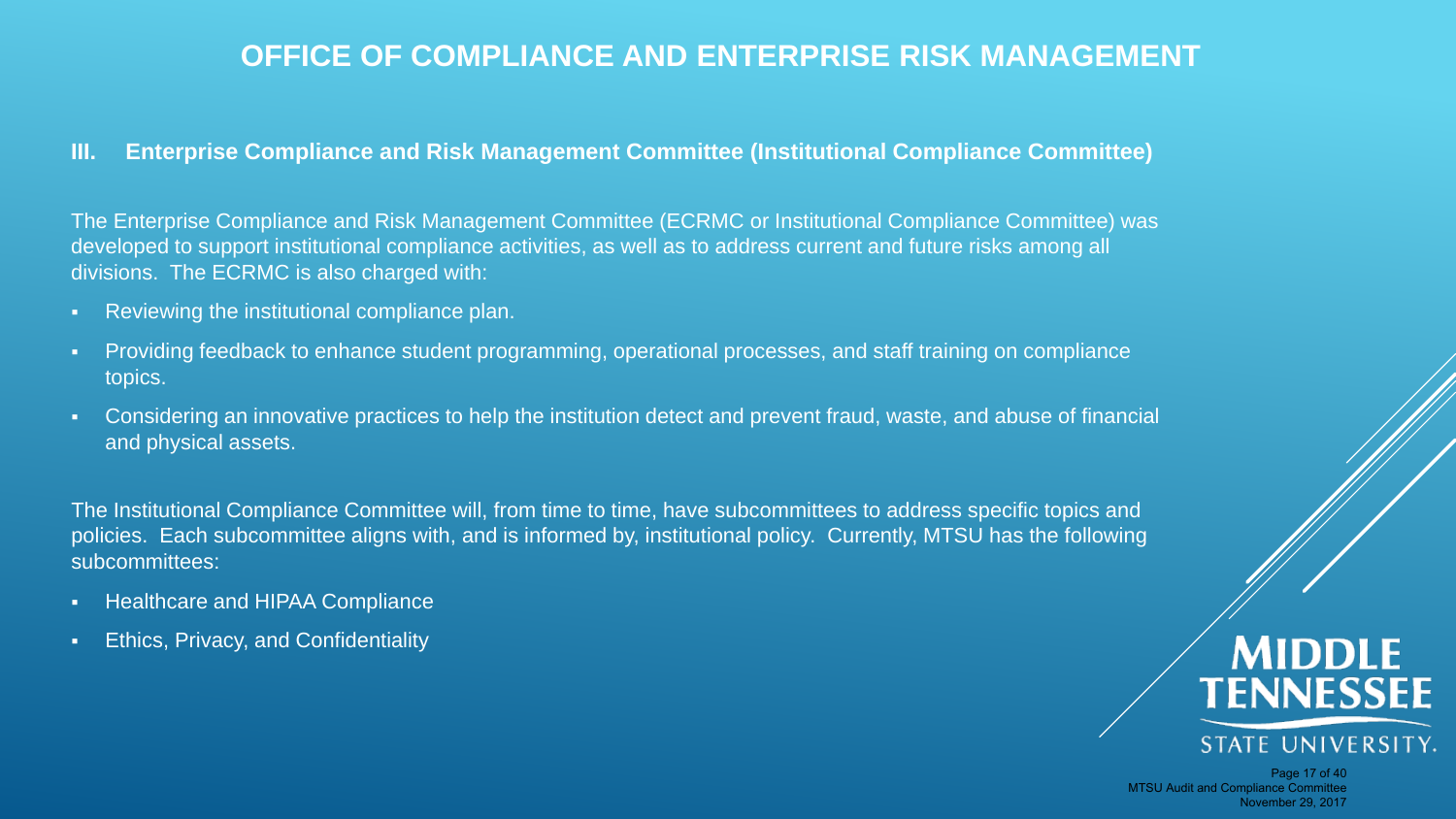### **OFFICE OF COMPLIANCE AND ENTERPRISE RISK MANAGEMENT**

#### **III. Enterprise Compliance and Risk Management Committee (Institutional Compliance Committee)**

The Enterprise Compliance and Risk Management Committee (ECRMC or Institutional Compliance Committee) was developed to support institutional compliance activities, as well as to address current and future risks among all divisions. The ECRMC is also charged with:

- Reviewing the institutional compliance plan.
- Providing feedback to enhance student programming, operational processes, and staff training on compliance topics.
- Considering an innovative practices to help the institution detect and prevent fraud, waste, and abuse of financial and physical assets.

The Institutional Compliance Committee will, from time to time, have subcommittees to address specific topics and policies. Each subcommittee aligns with, and is informed by, institutional policy. Currently, MTSU has the following subcommittees:

- **-** Healthcare and HIPAA Compliance
- **Ethics, Privacy, and Confidentiality**

**MIDDLE TENNESSEE STATE UNIVERSITY.** 

Page 17 of 40 **MTSU Audit and Compliance Co** November 29, 2017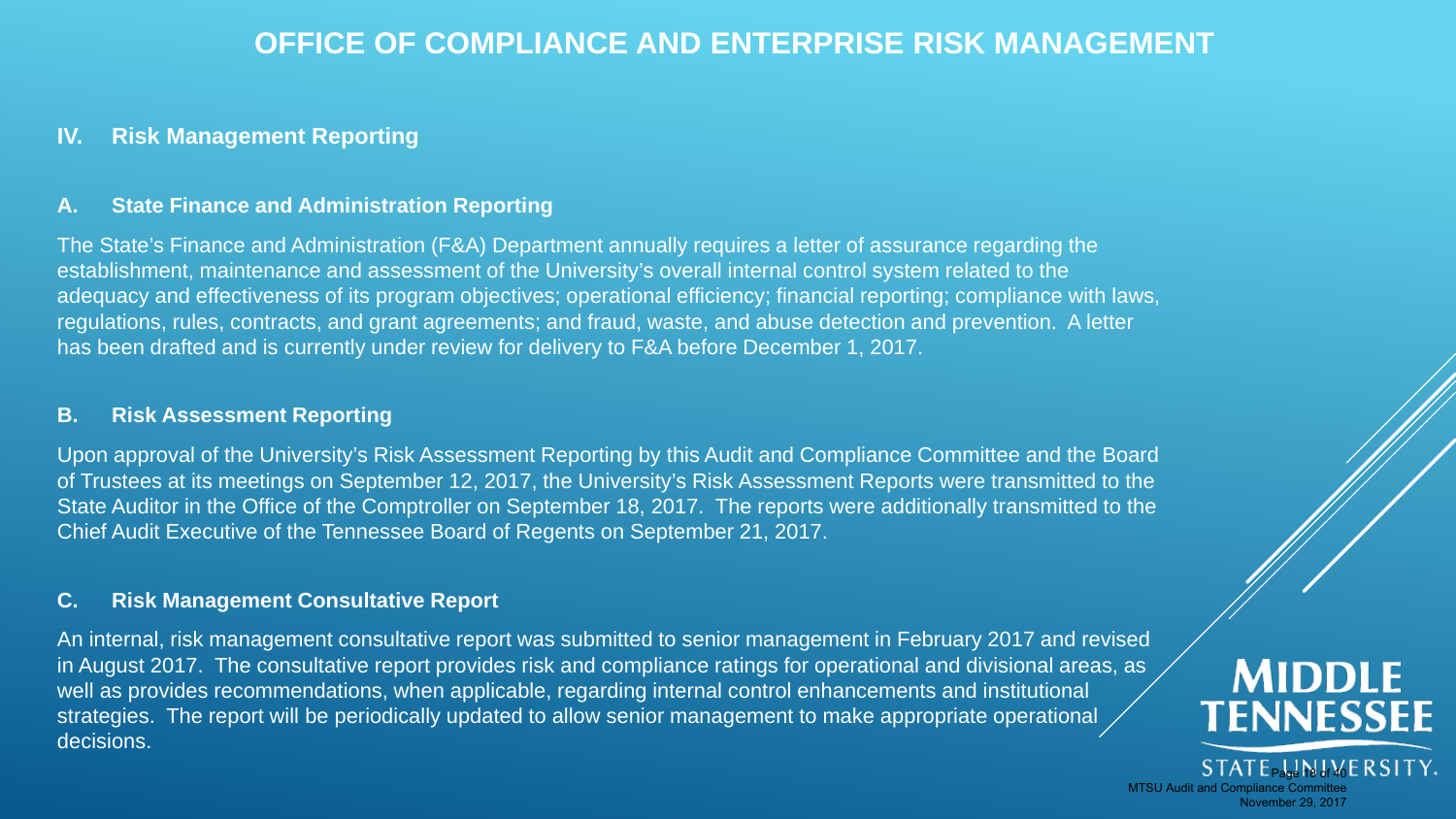#### **IV. Risk Management Reporting**

#### **A. State Finance and Administration Reporting**

The State's Finance and Administration (F&A) Department annually requires a letter of assurance regarding the establishment, maintenance and assessment of the University's overall internal control system related to the adequacy and effectiveness of its program objectives; operational efficiency; financial reporting; compliance with laws, regulations, rules, contracts, and grant agreements; and fraud, waste, and abuse detection and prevention. A letter has been drafted and is currently under review for delivery to F&A before December 1, 2017.

#### **B. Risk Assessment Reporting**

Upon approval of the University's Risk Assessment Reporting by this Audit and Compliance Committee and the Board of Trustees at its meetings on September 12, 2017, the University's Risk Assessment Reports were transmitted to the State Auditor in the Office of the Comptroller on September 18, 2017. The reports were additionally transmitted to the Chief Audit Executive of the Tennessee Board of Regents on September 21, 2017.

#### **C. Risk Management Consultative Report**

An internal, risk management consultative report was submitted to senior management in February 2017 and revised in August 2017. The consultative report provides risk and compliance ratings for operational and divisional areas, as well as provides recommendations, when applicable, regarding internal control enhancements and institutional strategies. The report will be periodically updated to allow senior management to make appropriate operational decisions.

> STATE. *LIN LVERSITY*. **MTSU Audit and Compliance Committee** November 29, 2017

**MIDDLE** 

**TENNESSEE**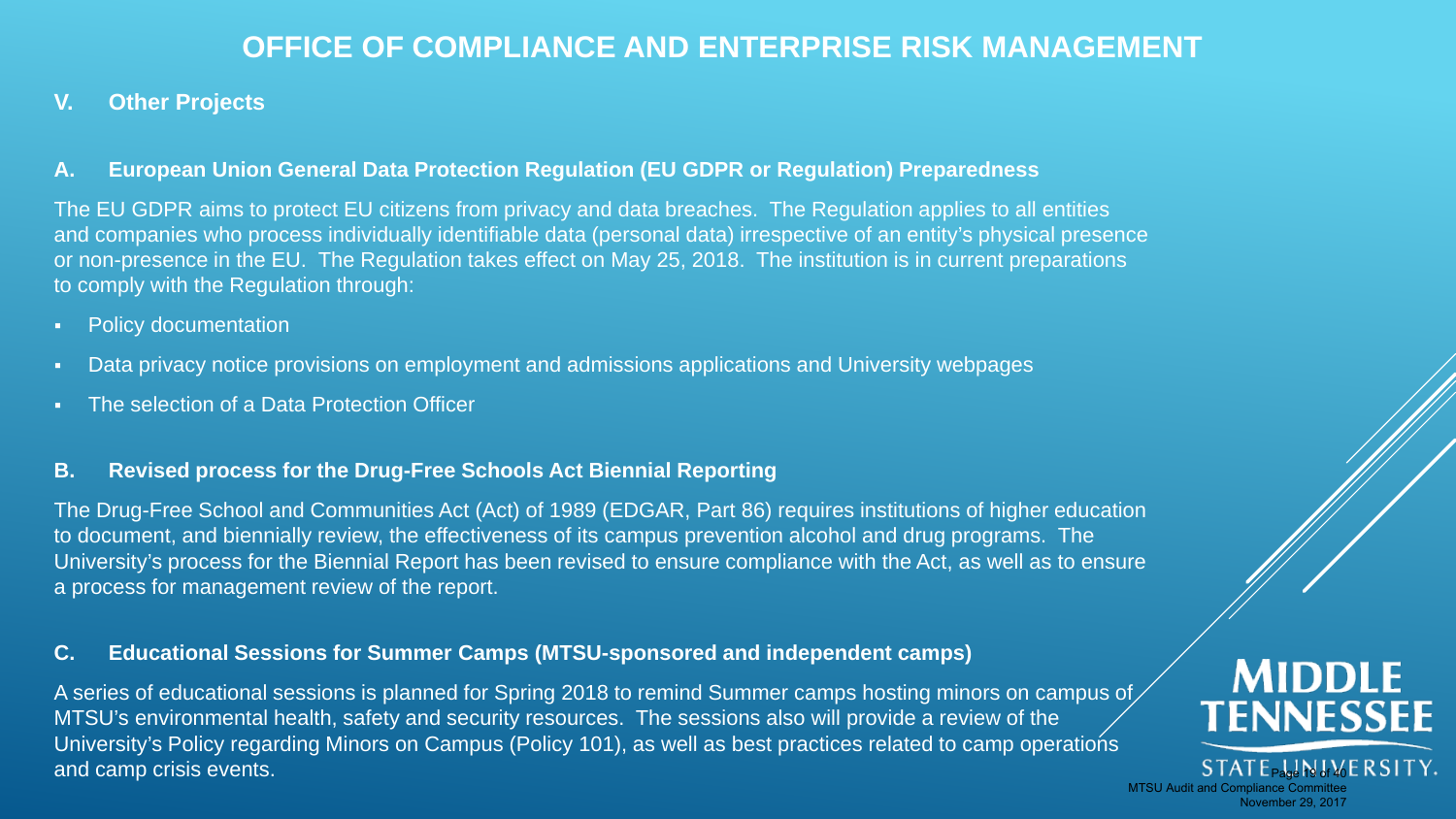### **OFFICE OF COMPLIANCE AND ENTERPRISE RISK MANAGEMENT**

#### **V. Other Projects**

#### **A. European Union General Data Protection Regulation (EU GDPR or Regulation) Preparedness**

The EU GDPR aims to protect EU citizens from privacy and data breaches. The Regulation applies to all entities and companies who process individually identifiable data (personal data) irrespective of an entity's physical presence or non-presence in the EU. The Regulation takes effect on May 25, 2018. The institution is in current preparations to comply with the Regulation through:

- Policy documentation
- Data privacy notice provisions on employment and admissions applications and University webpages
- **The selection of a Data Protection Officer**

#### **B. Revised process for the Drug-Free Schools Act Biennial Reporting**

The Drug-Free School and Communities Act (Act) of 1989 (EDGAR, Part 86) requires institutions of higher education to document, and biennially review, the effectiveness of its campus prevention alcohol and drug programs. The University's process for the Biennial Report has been revised to ensure compliance with the Act, as well as to ensure a process for management review of the report.

#### **C. Educational Sessions for Summer Camps (MTSU-sponsored and independent camps)**

A series of educational sessions is planned for Spring 2018 to remind Summer camps hosting minors on campus of MTSU's environmental health, safety and security resources. The sessions also will provide a review of the University's Policy regarding Minors on Campus (Policy 101), as well as best practices related to camp operations and camp crisis events.



**MTSU Audit and Com** November 29, 2017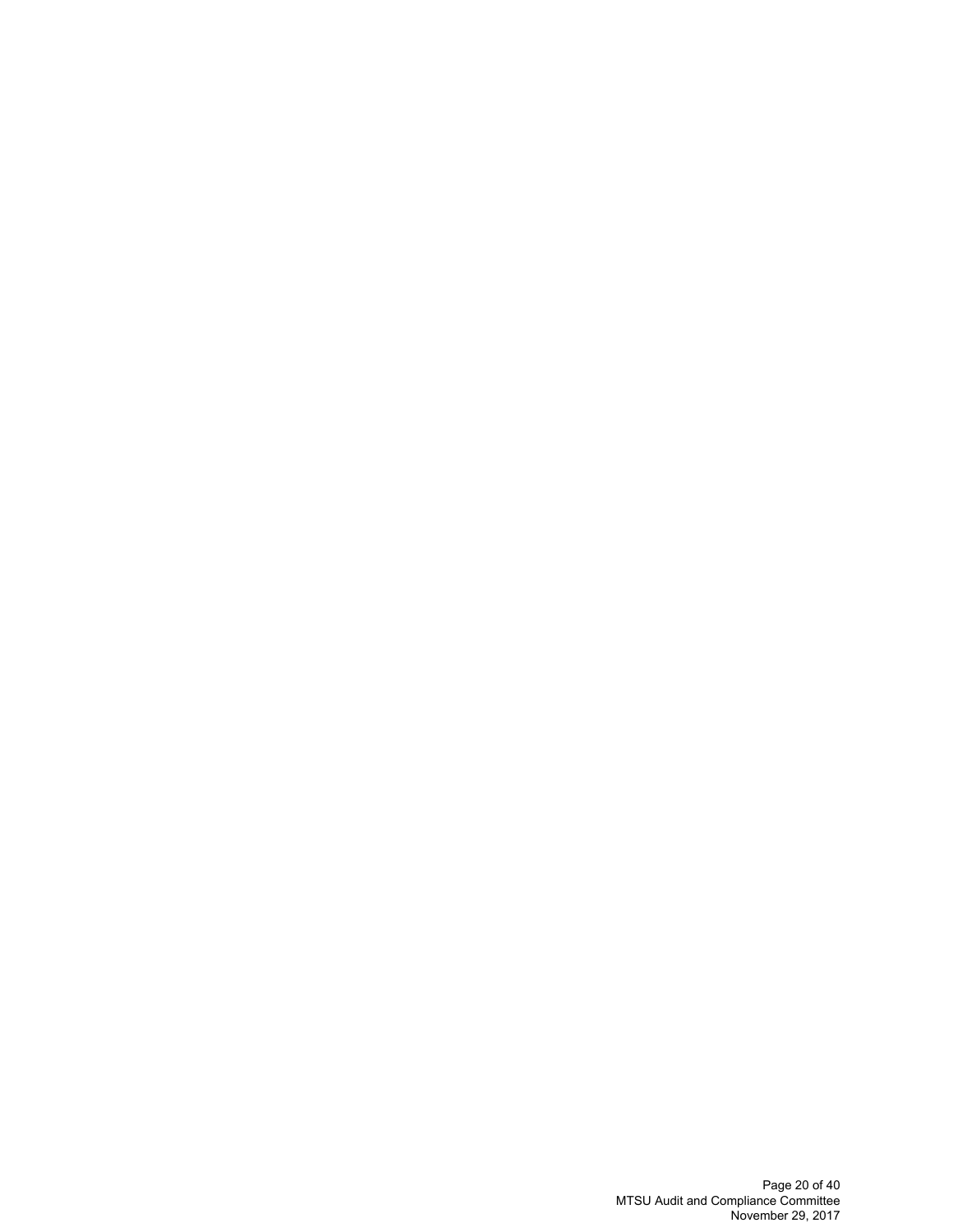Page 20 of 40 MTSU Audit and Compliance Committee November 29, 2017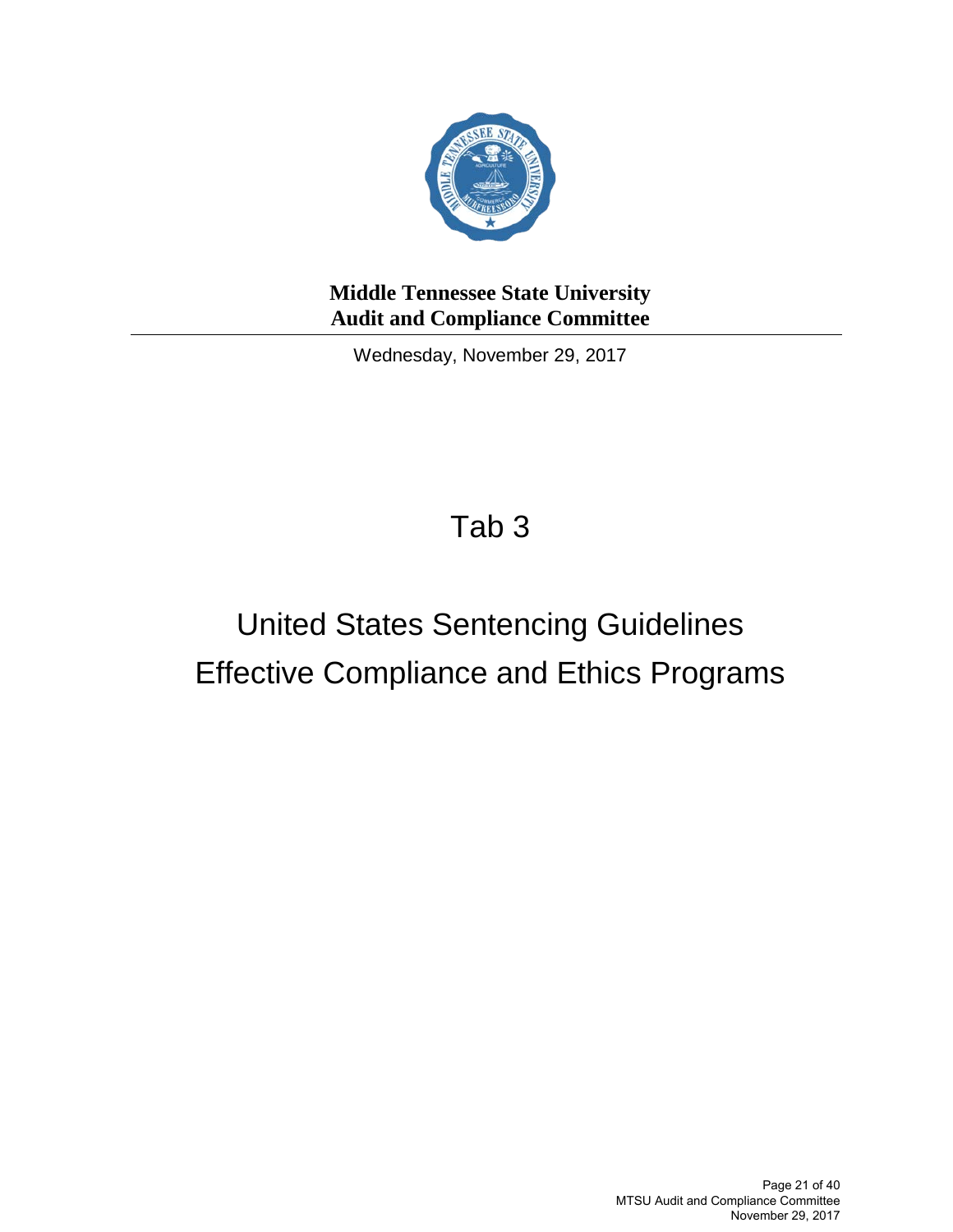

Wednesday, November 29, 2017

# Tab 3

# United States Sentencing Guidelines Effective Compliance and Ethics Programs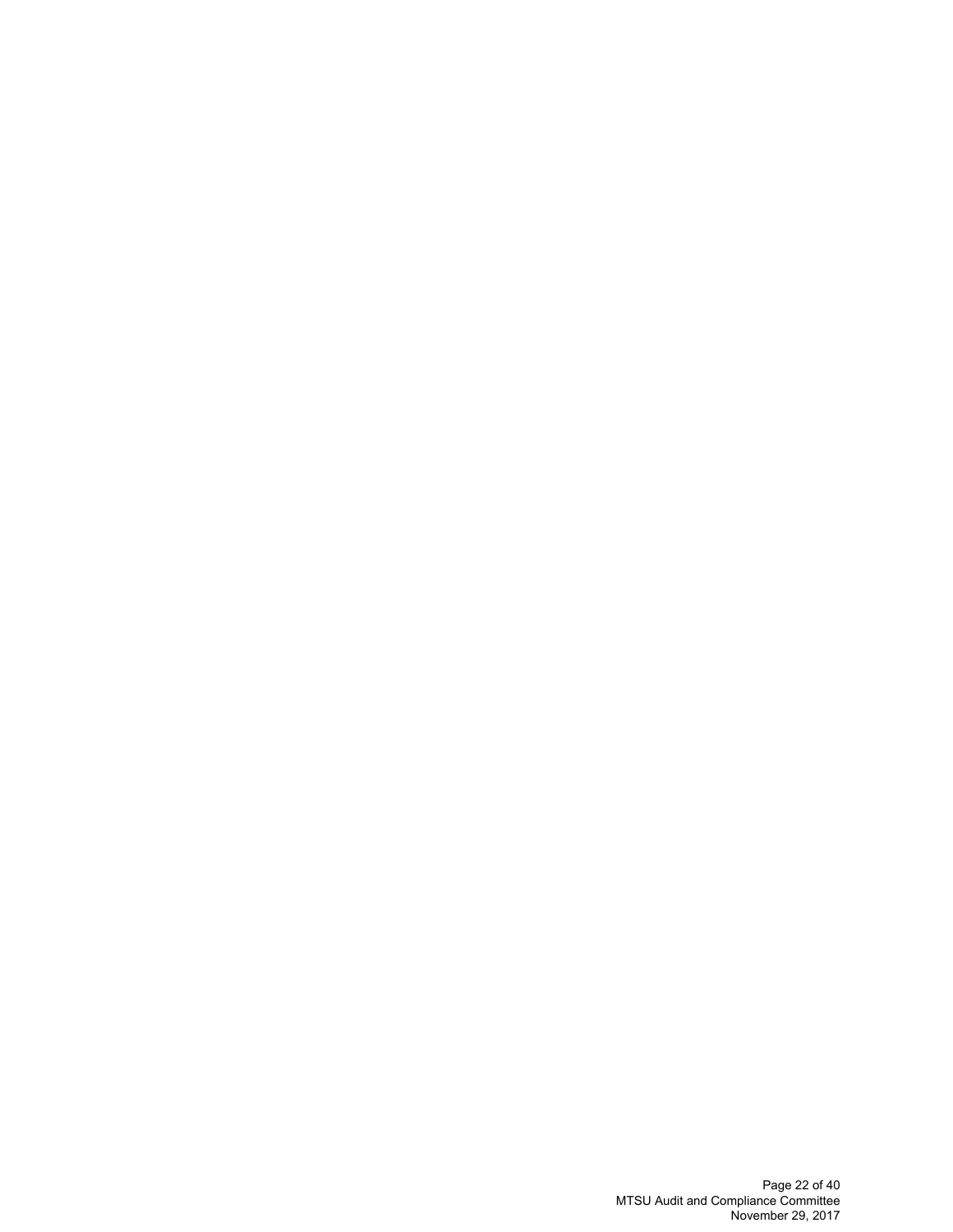Page 22 of 40 MTSU Audit and Compliance Committee November 29, 2017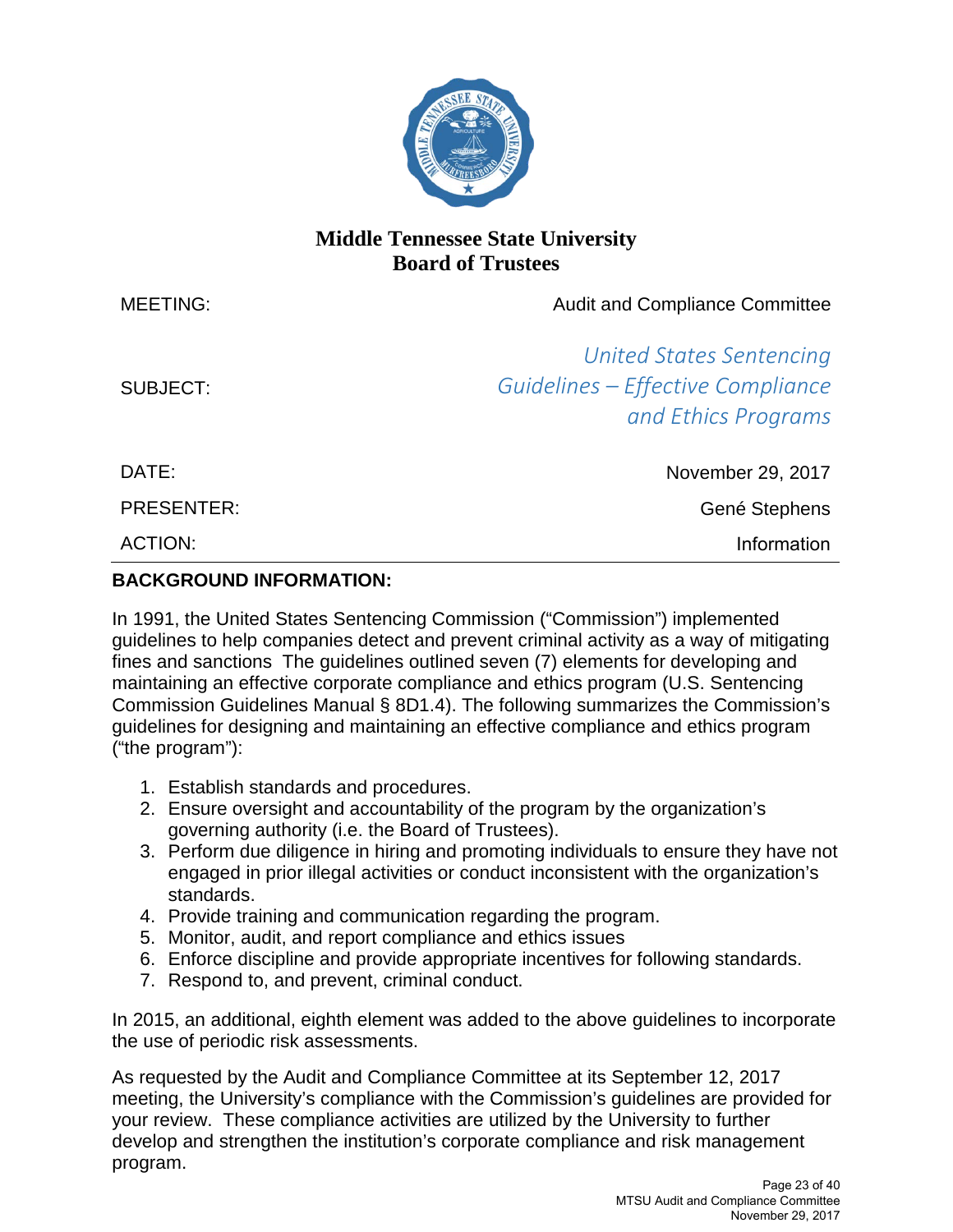

#### **Middle Tennessee State University Board of Trustees**

MEETING: MEETING: SUBJECT: DATE: PRESENTER: November 29, 2017 Gené Stephens

ACTION:

#### **BACKGROUND INFORMATION:**

In 1991, the United States Sentencing Commission ("Commission") implemented guidelines to help companies detect and prevent criminal activity as a way of mitigating fines and sanctions The guidelines outlined seven (7) elements for developing and maintaining an effective corporate compliance and ethics program (U.S. Sentencing Commission Guidelines Manual § 8D1.4). The following summarizes the Commission's guidelines for designing and maintaining an effective compliance and ethics program ("the program"):

- 1. Establish standards and procedures.
- 2. Ensure oversight and accountability of the program by the organization's governing authority (i.e. the Board of Trustees).
- 3. Perform due diligence in hiring and promoting individuals to ensure they have not engaged in prior illegal activities or conduct inconsistent with the organization's standards.
- 4. Provide training and communication regarding the program.
- 5. Monitor, audit, and report compliance and ethics issues
- 6. Enforce discipline and provide appropriate incentives for following standards.
- 7. Respond to, and prevent, criminal conduct.

In 2015, an additional, eighth element was added to the above guidelines to incorporate the use of periodic risk assessments.

As requested by the Audit and Compliance Committee at its September 12, 2017 meeting, the University's compliance with the Commission's guidelines are provided for your review. These compliance activities are utilized by the University to further develop and strengthen the institution's corporate compliance and risk management program.

*United States Sentencing Guidelines – Effective Compliance and Ethics Programs* 

Information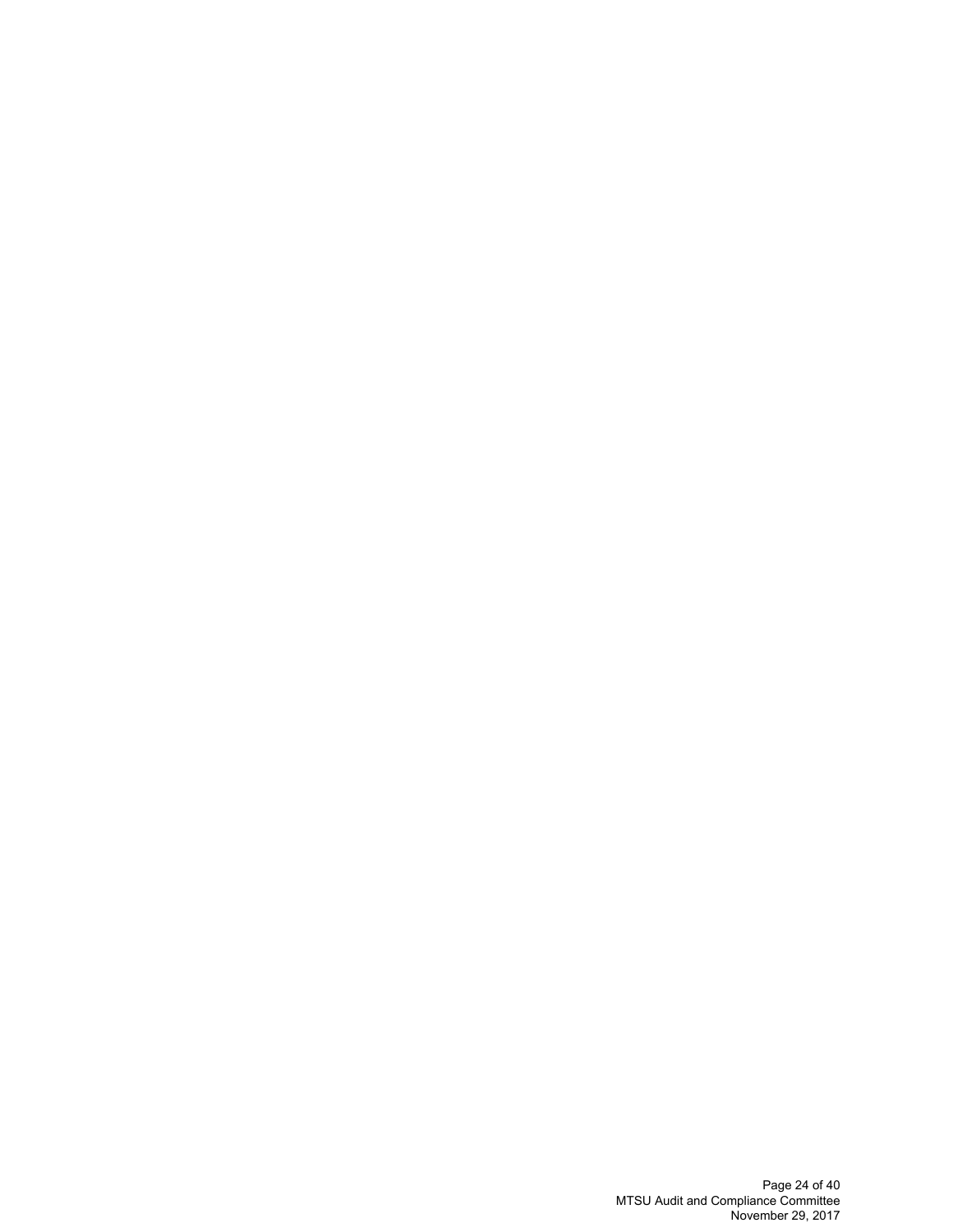Page 24 of 40 MTSU Audit and Compliance Committee November 29, 2017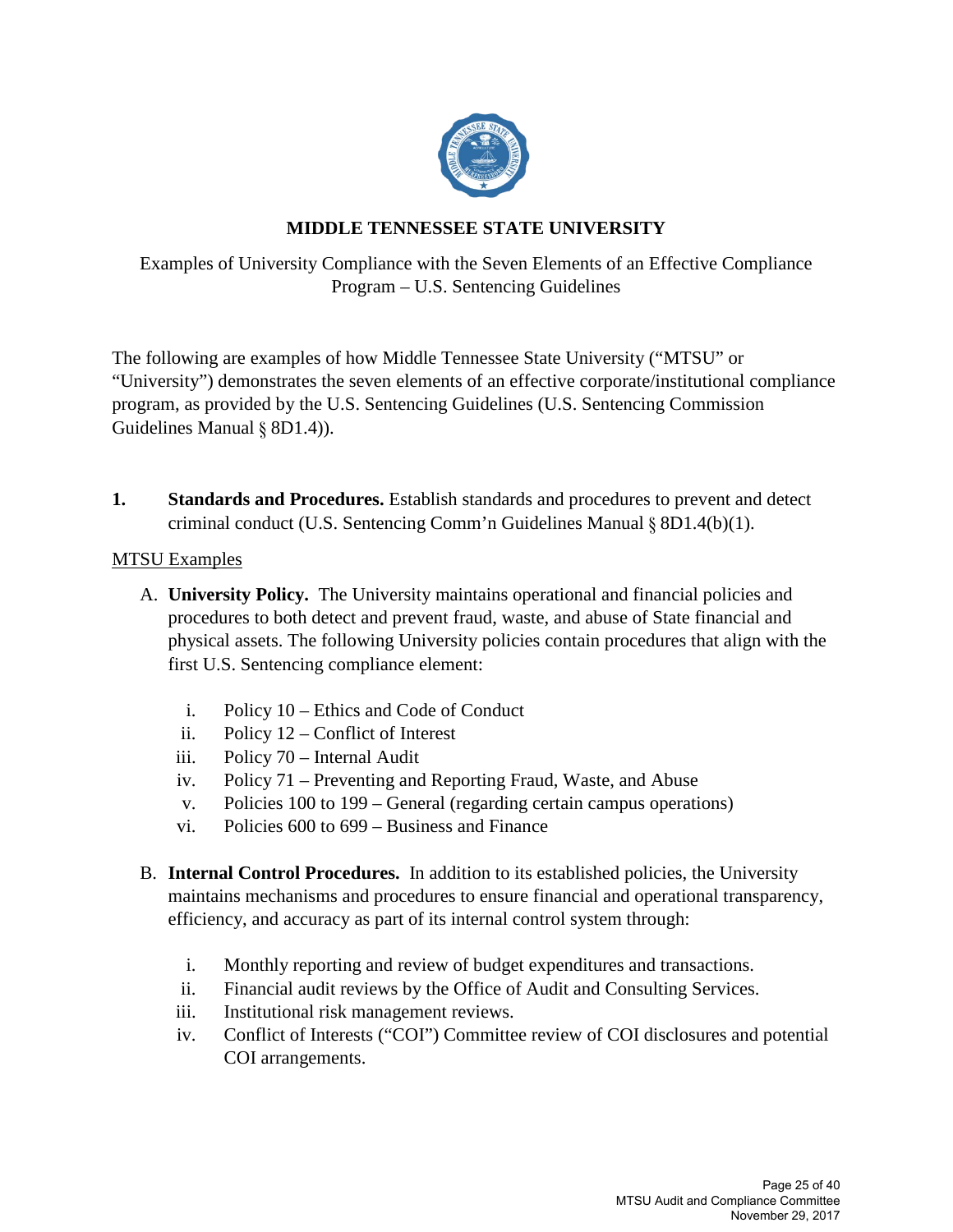

#### **MIDDLE TENNESSEE STATE UNIVERSITY**

Examples of University Compliance with the Seven Elements of an Effective Compliance Program – U.S. Sentencing Guidelines

The following are examples of how Middle Tennessee State University ("MTSU" or "University") demonstrates the seven elements of an effective corporate/institutional compliance program, as provided by the U.S. Sentencing Guidelines (U.S. Sentencing Commission Guidelines Manual § 8D1.4)).

**1. Standards and Procedures.** Establish standards and procedures to prevent and detect criminal conduct (U.S. Sentencing Comm'n Guidelines Manual § 8D1.4(b)(1).

- A. **University Policy.** The University maintains operational and financial policies and procedures to both detect and prevent fraud, waste, and abuse of State financial and physical assets. The following University policies contain procedures that align with the first U.S. Sentencing compliance element:
	- i. Policy 10 Ethics and Code of Conduct
	- ii. Policy 12 Conflict of Interest
	- iii. Policy 70 Internal Audit
	- iv. Policy 71 Preventing and Reporting Fraud, Waste, and Abuse
	- v. Policies 100 to 199 General (regarding certain campus operations)
	- vi. Policies 600 to 699 Business and Finance
- B. **Internal Control Procedures.** In addition to its established policies, the University maintains mechanisms and procedures to ensure financial and operational transparency, efficiency, and accuracy as part of its internal control system through:
	- i. Monthly reporting and review of budget expenditures and transactions.
	- ii. Financial audit reviews by the Office of Audit and Consulting Services.
	- iii. Institutional risk management reviews.
	- iv. Conflict of Interests ("COI") Committee review of COI disclosures and potential COI arrangements.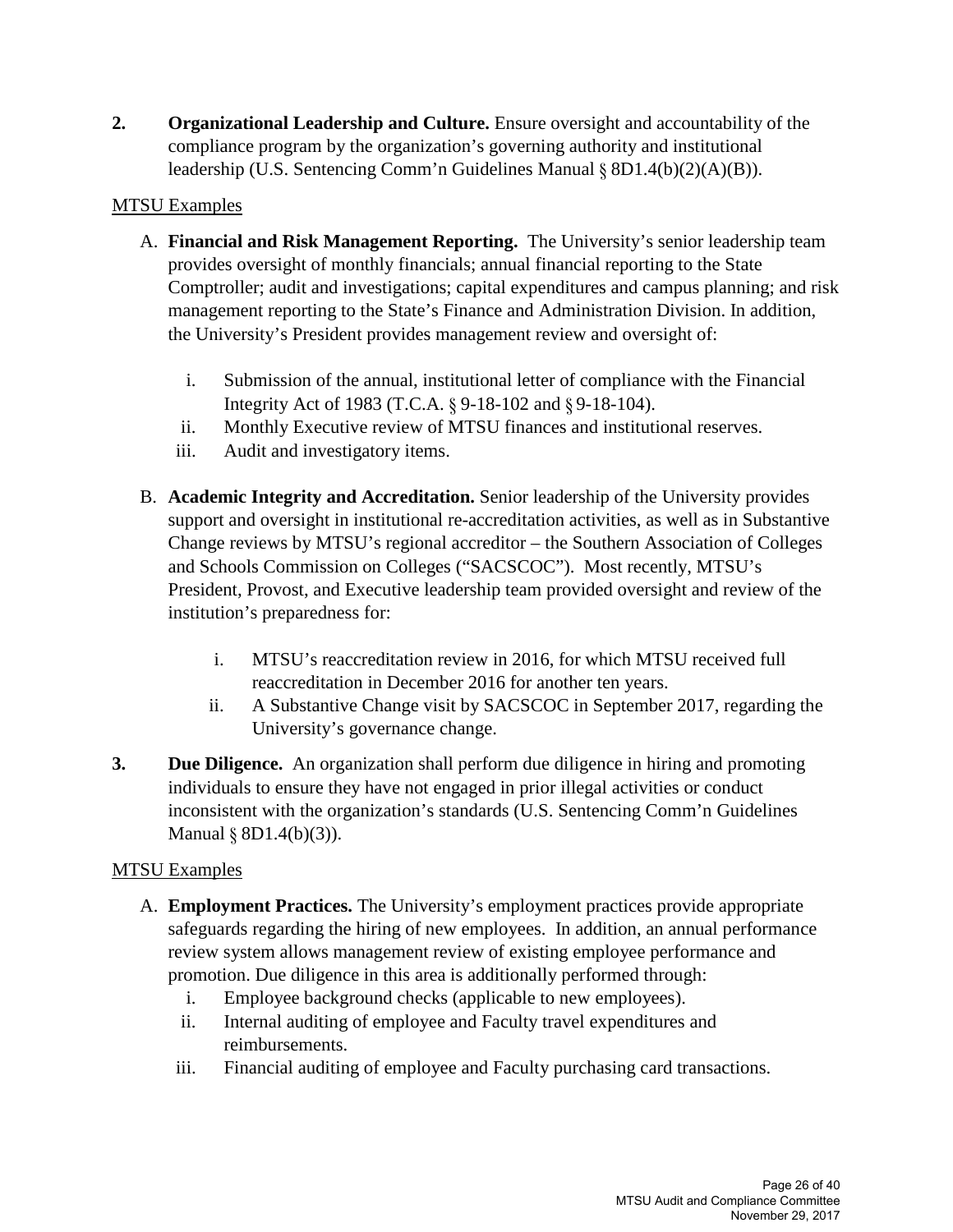**2. Organizational Leadership and Culture.** Ensure oversight and accountability of the compliance program by the organization's governing authority and institutional leadership (U.S. Sentencing Comm'n Guidelines Manual § 8D1.4(b)(2)(A)(B)).

#### MTSU Examples

- A. **Financial and Risk Management Reporting.** The University's senior leadership team provides oversight of monthly financials; annual financial reporting to the State Comptroller; audit and investigations; capital expenditures and campus planning; and risk management reporting to the State's Finance and Administration Division. In addition, the University's President provides management review and oversight of:
	- i. Submission of the annual, institutional letter of compliance with the Financial Integrity Act of 1983 (T.C.A. § 9-18-102 and § 9-18-104).
	- ii. Monthly Executive review of MTSU finances and institutional reserves.
	- iii. Audit and investigatory items.
- B. **Academic Integrity and Accreditation.** Senior leadership of the University provides support and oversight in institutional re-accreditation activities, as well as in Substantive Change reviews by MTSU's regional accreditor – the Southern Association of Colleges and Schools Commission on Colleges ("SACSCOC"). Most recently, MTSU's President, Provost, and Executive leadership team provided oversight and review of the institution's preparedness for:
	- i. MTSU's reaccreditation review in 2016, for which MTSU received full reaccreditation in December 2016 for another ten years.
	- ii. A Substantive Change visit by SACSCOC in September 2017, regarding the University's governance change.
- **3. Due Diligence.** An organization shall perform due diligence in hiring and promoting individuals to ensure they have not engaged in prior illegal activities or conduct inconsistent with the organization's standards (U.S. Sentencing Comm'n Guidelines Manual § 8D1.4(b)(3)).

- A. **Employment Practices.** The University's employment practices provide appropriate safeguards regarding the hiring of new employees. In addition, an annual performance review system allows management review of existing employee performance and promotion. Due diligence in this area is additionally performed through:
	- i. Employee background checks (applicable to new employees).
	- ii. Internal auditing of employee and Faculty travel expenditures and reimbursements.
	- iii. Financial auditing of employee and Faculty purchasing card transactions.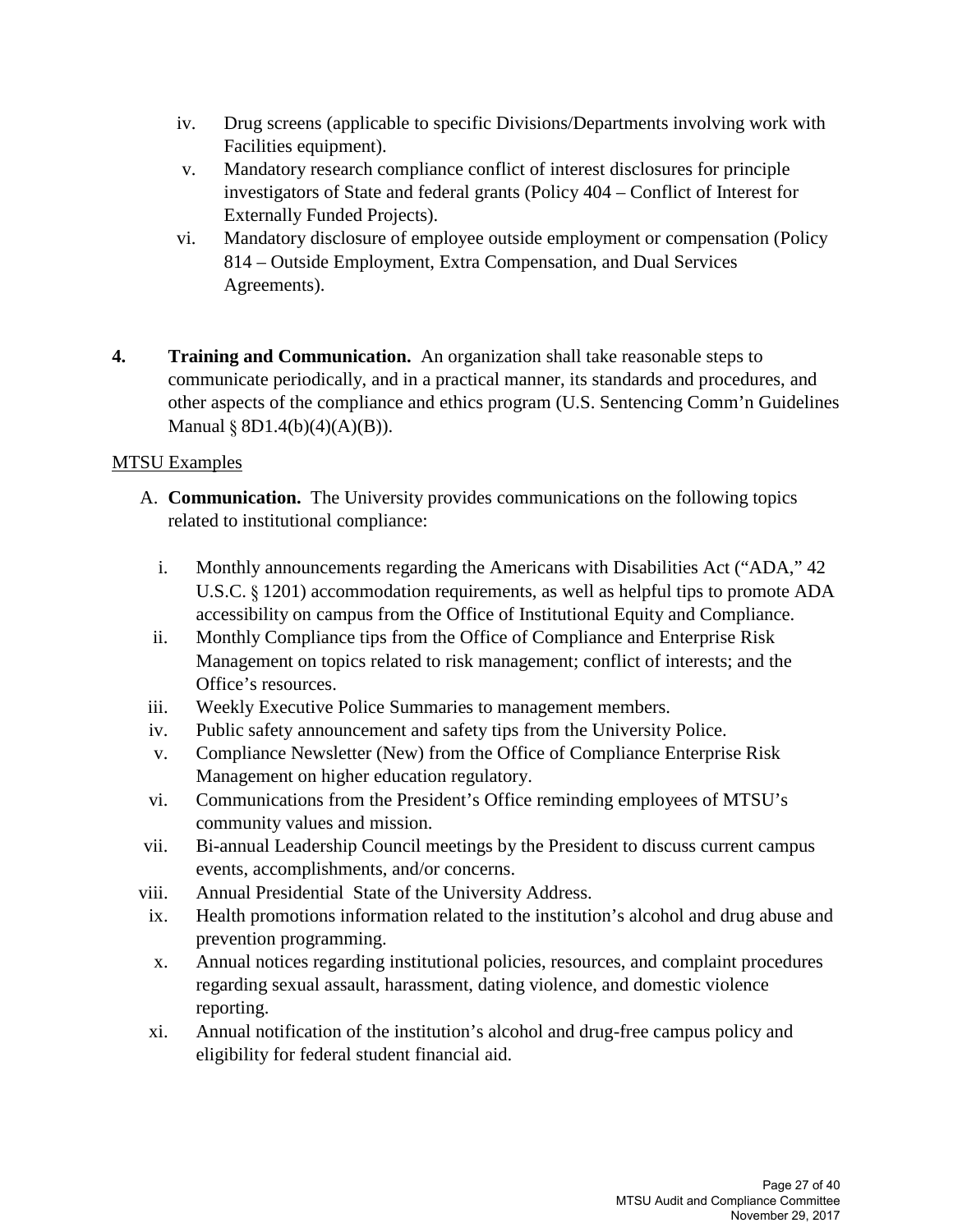- iv. Drug screens (applicable to specific Divisions/Departments involving work with Facilities equipment).
- v. Mandatory research compliance conflict of interest disclosures for principle investigators of State and federal grants (Policy 404 – Conflict of Interest for Externally Funded Projects).
- vi. Mandatory disclosure of employee outside employment or compensation (Policy 814 – Outside Employment, Extra Compensation, and Dual Services Agreements).
- **4. Training and Communication.** An organization shall take reasonable steps to communicate periodically, and in a practical manner, its standards and procedures, and other aspects of the compliance and ethics program (U.S. Sentencing Comm'n Guidelines Manual  $\S 8D1.4(b)(4)(A)(B)$ ).

- A. **Communication.** The University provides communications on the following topics related to institutional compliance:
	- i. Monthly announcements regarding the Americans with Disabilities Act ("ADA," 42 U.S.C. § 1201) accommodation requirements, as well as helpful tips to promote ADA accessibility on campus from the Office of Institutional Equity and Compliance.
	- ii. Monthly Compliance tips from the Office of Compliance and Enterprise Risk Management on topics related to risk management; conflict of interests; and the Office's resources.
- iii. Weekly Executive Police Summaries to management members.
- iv. Public safety announcement and safety tips from the University Police.
- v. Compliance Newsletter (New) from the Office of Compliance Enterprise Risk Management on higher education regulatory.
- vi. Communications from the President's Office reminding employees of MTSU's community values and mission.
- vii. Bi-annual Leadership Council meetings by the President to discuss current campus events, accomplishments, and/or concerns.
- viii. Annual Presidential State of the University Address.
- ix. Health promotions information related to the institution's alcohol and drug abuse and prevention programming.
- x. Annual notices regarding institutional policies, resources, and complaint procedures regarding sexual assault, harassment, dating violence, and domestic violence reporting.
- xi. Annual notification of the institution's alcohol and drug-free campus policy and eligibility for federal student financial aid.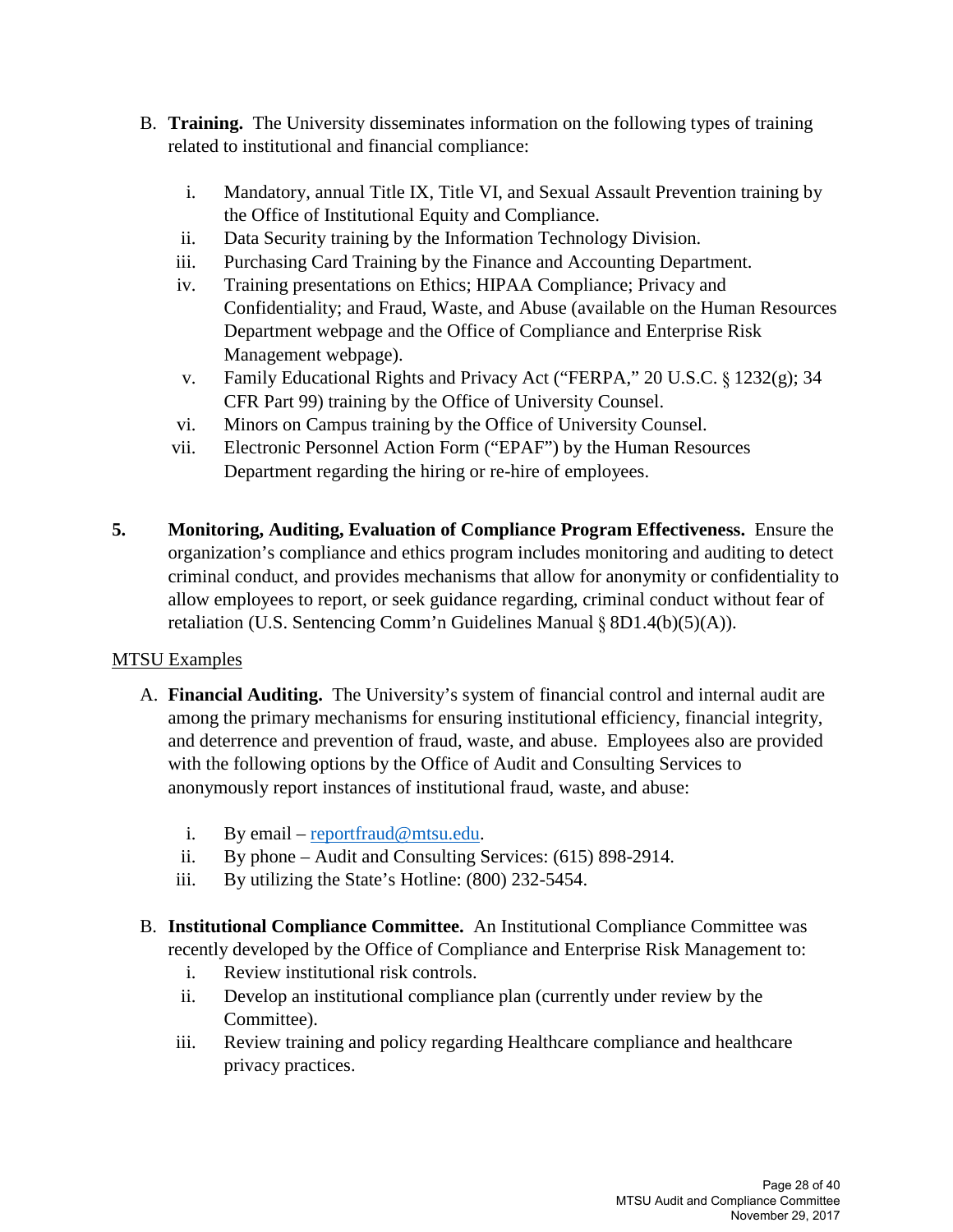- B. **Training.** The University disseminates information on the following types of training related to institutional and financial compliance:
	- i. Mandatory, annual Title IX, Title VI, and Sexual Assault Prevention training by the Office of Institutional Equity and Compliance.
	- ii. Data Security training by the Information Technology Division.
	- iii. Purchasing Card Training by the Finance and Accounting Department.
	- iv. Training presentations on Ethics; HIPAA Compliance; Privacy and Confidentiality; and Fraud, Waste, and Abuse (available on the Human Resources Department webpage and the Office of Compliance and Enterprise Risk Management webpage).
	- v. Family Educational Rights and Privacy Act ("FERPA," 20 U.S.C. § 1232(g); 34 CFR Part 99) training by the Office of University Counsel.
	- vi. Minors on Campus training by the Office of University Counsel.
	- vii. Electronic Personnel Action Form ("EPAF") by the Human Resources Department regarding the hiring or re-hire of employees.
- **5. Monitoring, Auditing, Evaluation of Compliance Program Effectiveness.** Ensure the organization's compliance and ethics program includes monitoring and auditing to detect criminal conduct, and provides mechanisms that allow for anonymity or confidentiality to allow employees to report, or seek guidance regarding, criminal conduct without fear of retaliation (U.S. Sentencing Comm'n Guidelines Manual § 8D1.4(b)(5)(A)).

- A. **Financial Auditing.** The University's system of financial control and internal audit are among the primary mechanisms for ensuring institutional efficiency, financial integrity, and deterrence and prevention of fraud, waste, and abuse. Employees also are provided with the following options by the Office of Audit and Consulting Services to anonymously report instances of institutional fraud, waste, and abuse:
	- i. By email  $reportraud@mtsu.edu.$ </u>
	- ii. By phone Audit and Consulting Services: (615) 898-2914.
	- iii. By utilizing the State's Hotline: (800) 232-5454.
- B. **Institutional Compliance Committee.** An Institutional Compliance Committee was recently developed by the Office of Compliance and Enterprise Risk Management to:
	- i. Review institutional risk controls.
	- ii. Develop an institutional compliance plan (currently under review by the Committee).
	- iii. Review training and policy regarding Healthcare compliance and healthcare privacy practices.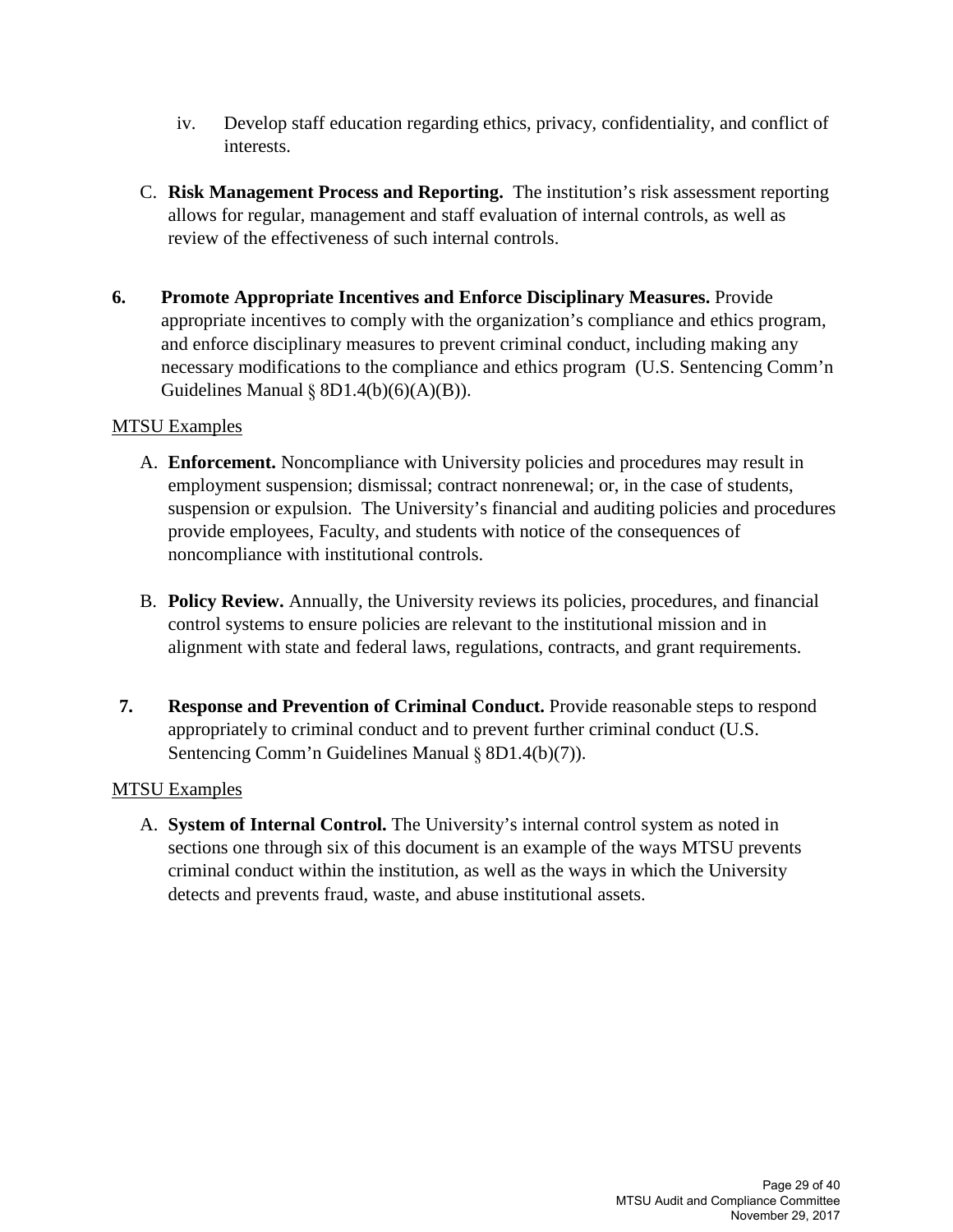- iv. Develop staff education regarding ethics, privacy, confidentiality, and conflict of interests.
- C. **Risk Management Process and Reporting.** The institution's risk assessment reporting allows for regular, management and staff evaluation of internal controls, as well as review of the effectiveness of such internal controls.
- **6. Promote Appropriate Incentives and Enforce Disciplinary Measures.** Provide appropriate incentives to comply with the organization's compliance and ethics program, and enforce disciplinary measures to prevent criminal conduct, including making any necessary modifications to the compliance and ethics program (U.S. Sentencing Comm'n Guidelines Manual  $\S 8D1.4(b)(6)(A)(B)$ .

#### MTSU Examples

- A. **Enforcement.** Noncompliance with University policies and procedures may result in employment suspension; dismissal; contract nonrenewal; or, in the case of students, suspension or expulsion. The University's financial and auditing policies and procedures provide employees, Faculty, and students with notice of the consequences of noncompliance with institutional controls.
- B. **Policy Review.** Annually, the University reviews its policies, procedures, and financial control systems to ensure policies are relevant to the institutional mission and in alignment with state and federal laws, regulations, contracts, and grant requirements.
- **7. Response and Prevention of Criminal Conduct.** Provide reasonable steps to respond appropriately to criminal conduct and to prevent further criminal conduct (U.S. Sentencing Comm'n Guidelines Manual § 8D1.4(b)(7)).

#### MTSU Examples

A. **System of Internal Control.** The University's internal control system as noted in sections one through six of this document is an example of the ways MTSU prevents criminal conduct within the institution, as well as the ways in which the University detects and prevents fraud, waste, and abuse institutional assets.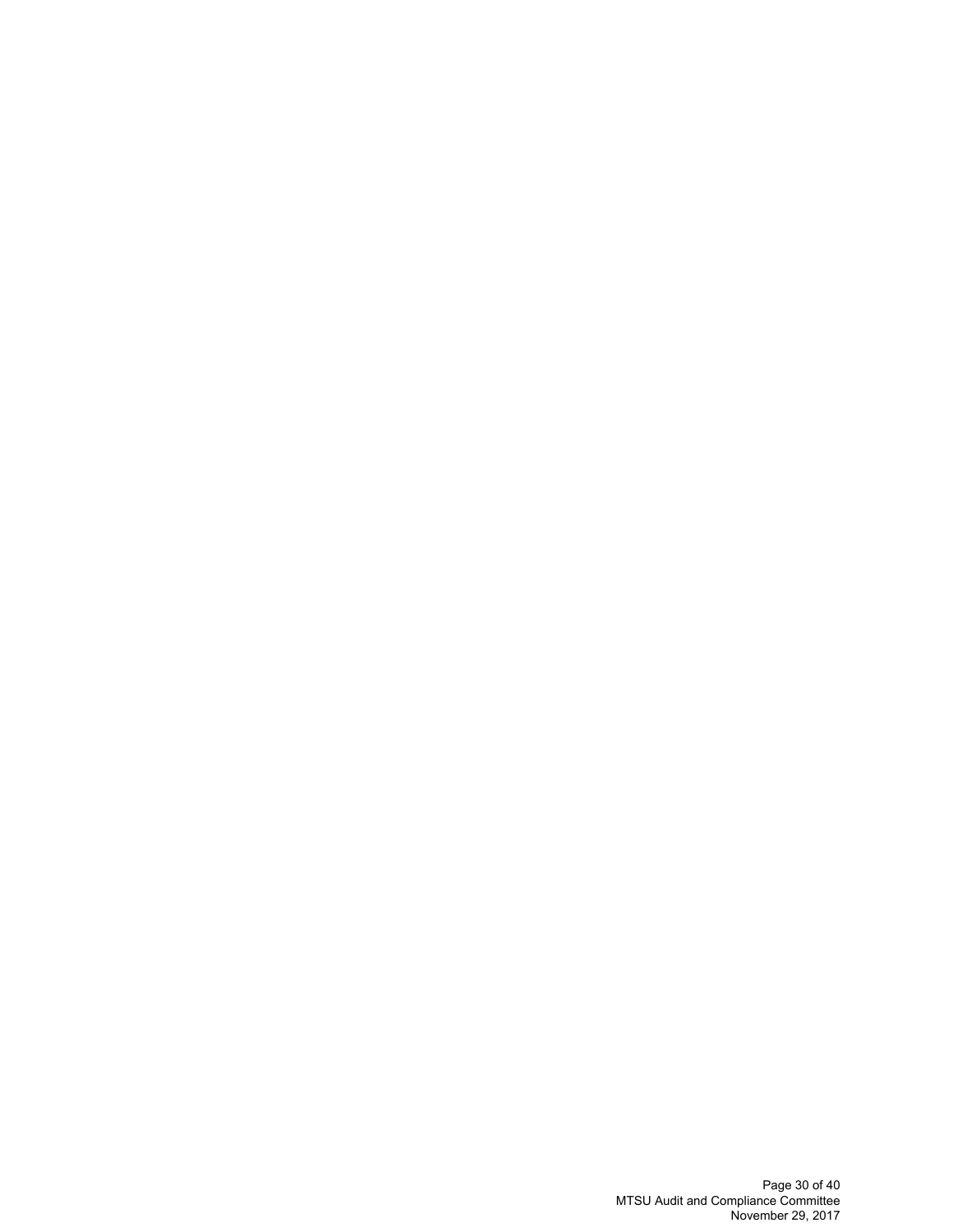Page 30 of 40 MTSU Audit and Compliance Committee November 29, 2017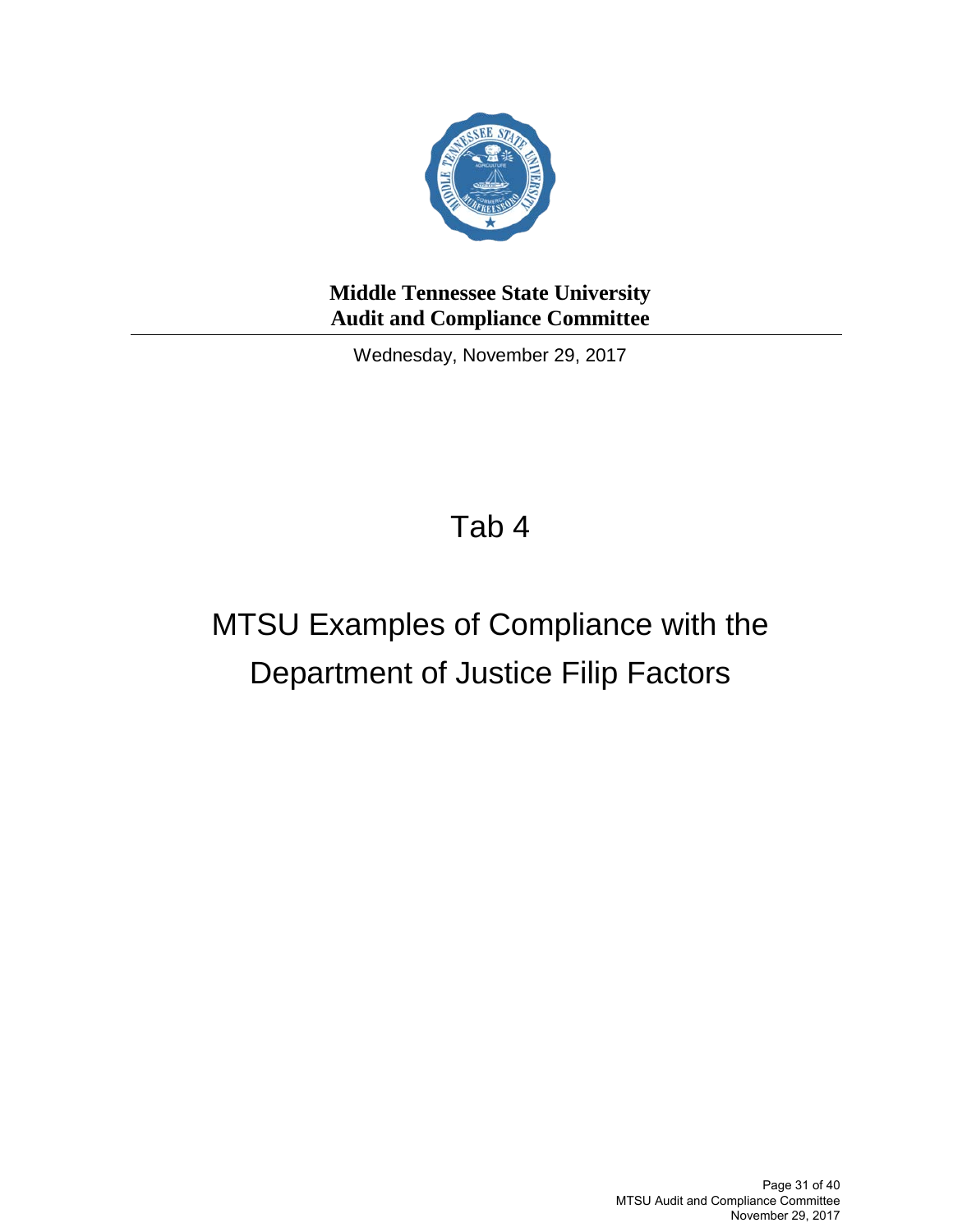

Wednesday, November 29, 2017

## Tab 4

# MTSU Examples of Compliance with the Department of Justice Filip Factors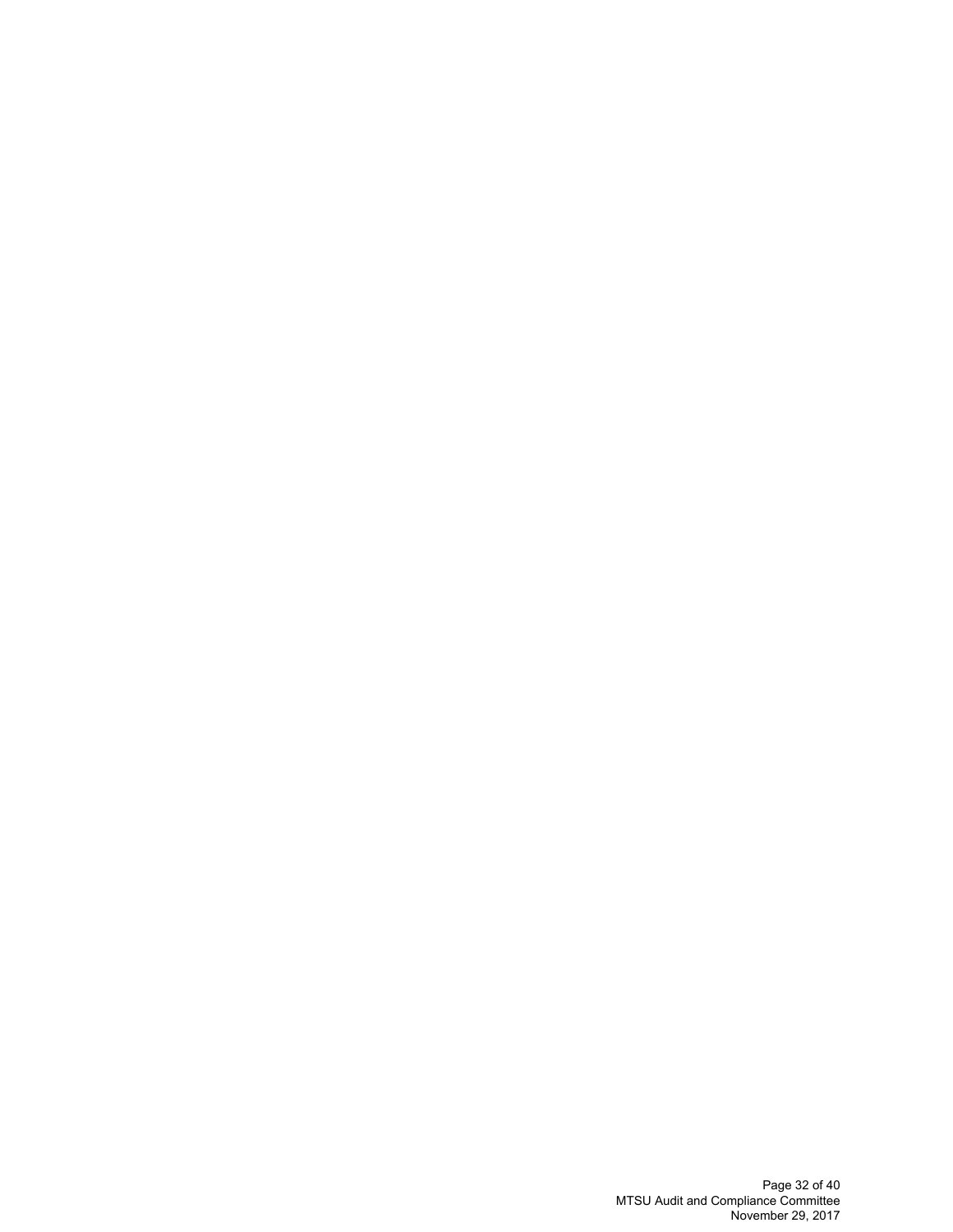Page 32 of 40 MTSU Audit and Compliance Committee November 29, 2017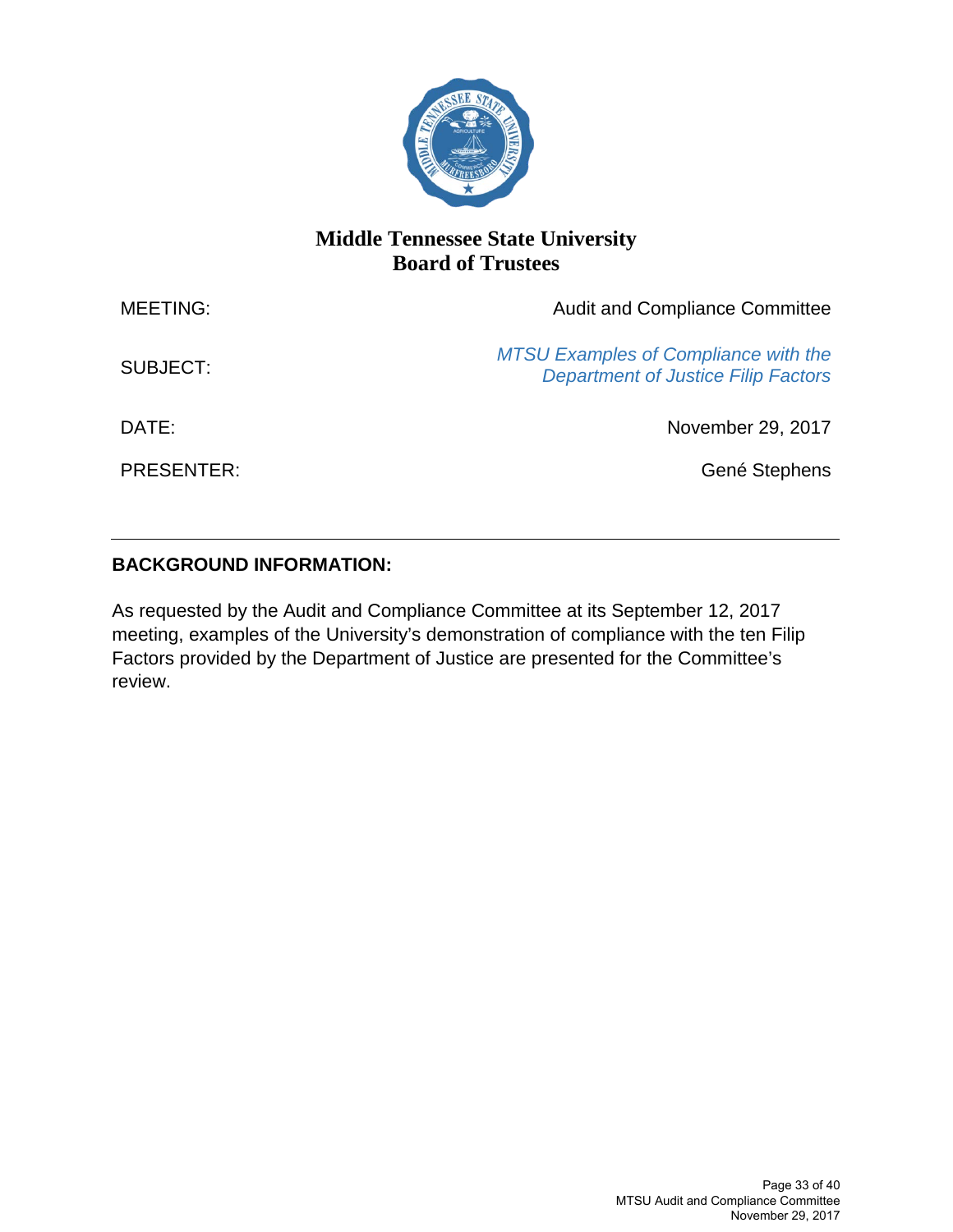

#### **Middle Tennessee State University Board of Trustees**

MEETING:

Audit and Compliance Committee

SUBJECT:

DATE:

*MTSU Examples of Compliance with the Department of Justice Filip Factors* 

November 29, 2017

PRESENTER: Gené Stephens

#### **BACKGROUND INFORMATION:**

As requested by the Audit and Compliance Committee at its September 12, 2017 meeting, examples of the University's demonstration of compliance with the ten Filip Factors provided by the Department of Justice are presented for the Committee's review.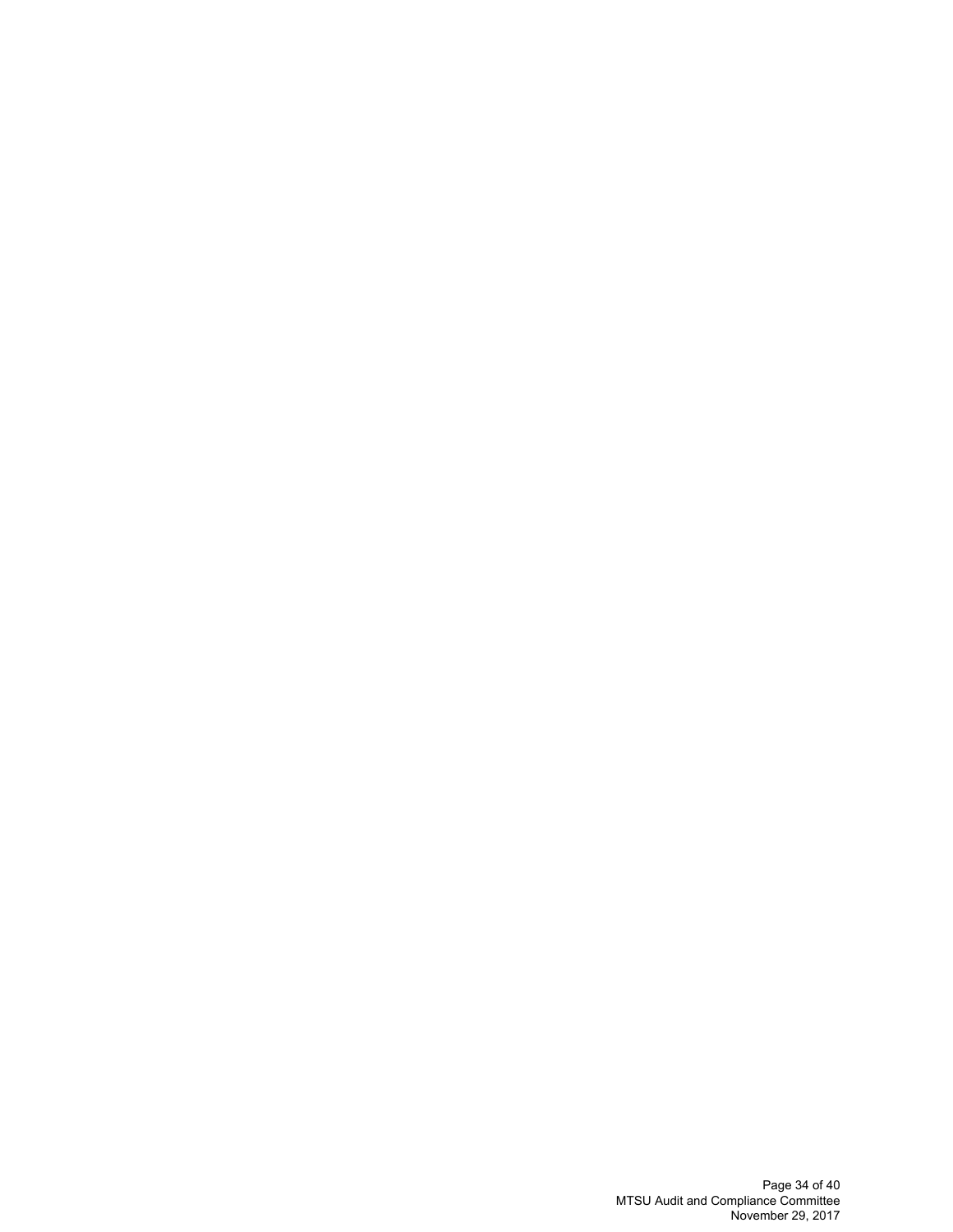Page 34 of 40 MTSU Audit and Compliance Committee November 29, 2017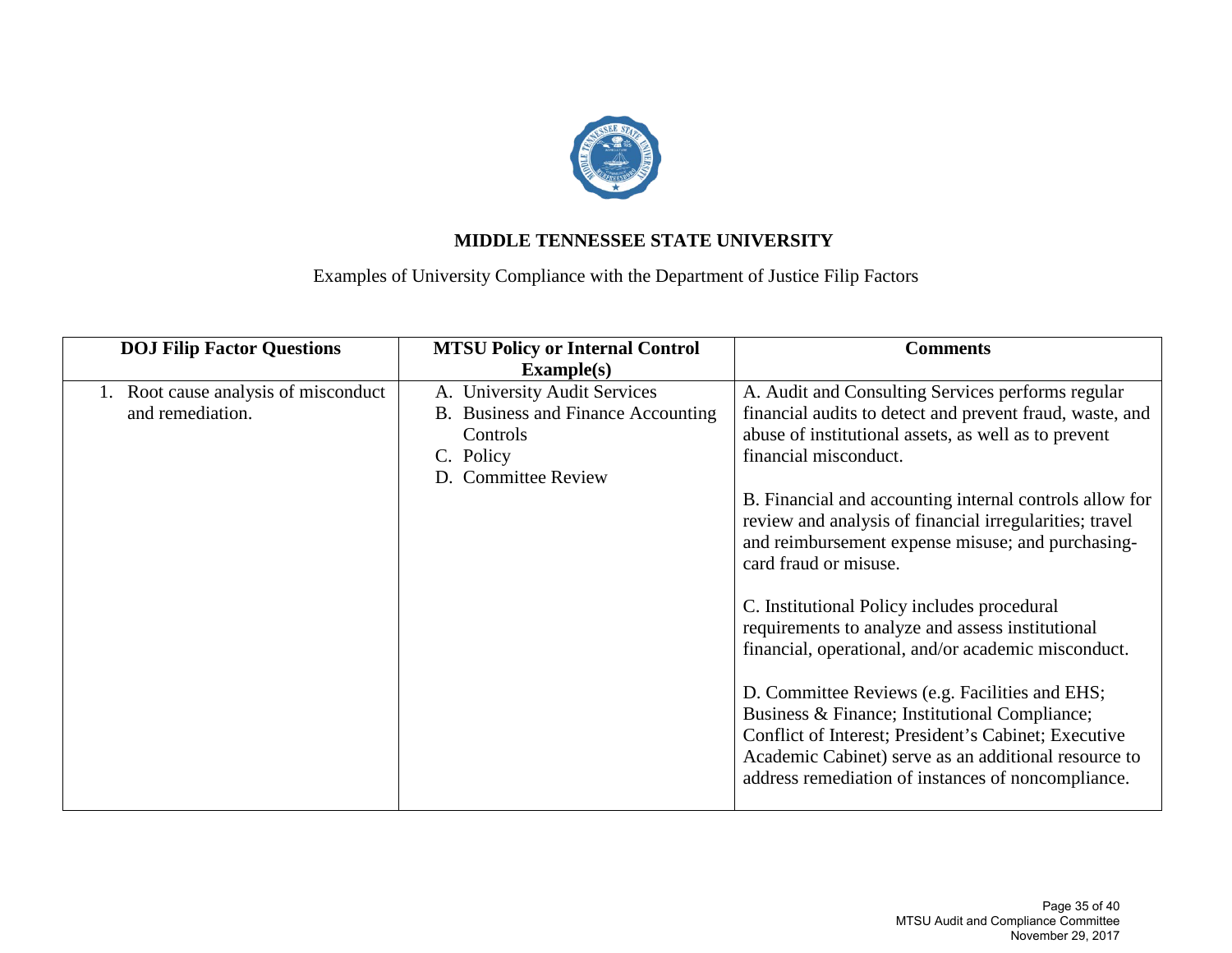

#### **MIDDLE TENNESSEE STATE UNIVERSITY**

Examples of University Compliance with the Department of Justice Filip Factors

| <b>DOJ Filip Factor Questions</b>                        | <b>MTSU Policy or Internal Control</b><br>Example(s)                                                               | <b>Comments</b>                                                                                                                                                                                                                                                                                                                                                                                                                                                                                                                                                                                                                                                                                                                                                                                                                       |
|----------------------------------------------------------|--------------------------------------------------------------------------------------------------------------------|---------------------------------------------------------------------------------------------------------------------------------------------------------------------------------------------------------------------------------------------------------------------------------------------------------------------------------------------------------------------------------------------------------------------------------------------------------------------------------------------------------------------------------------------------------------------------------------------------------------------------------------------------------------------------------------------------------------------------------------------------------------------------------------------------------------------------------------|
| 1. Root cause analysis of misconduct<br>and remediation. | A. University Audit Services<br>B. Business and Finance Accounting<br>Controls<br>C. Policy<br>D. Committee Review | A. Audit and Consulting Services performs regular<br>financial audits to detect and prevent fraud, waste, and<br>abuse of institutional assets, as well as to prevent<br>financial misconduct.<br>B. Financial and accounting internal controls allow for<br>review and analysis of financial irregularities; travel<br>and reimbursement expense misuse; and purchasing-<br>card fraud or misuse.<br>C. Institutional Policy includes procedural<br>requirements to analyze and assess institutional<br>financial, operational, and/or academic misconduct.<br>D. Committee Reviews (e.g. Facilities and EHS;<br>Business & Finance; Institutional Compliance;<br>Conflict of Interest; President's Cabinet; Executive<br>Academic Cabinet) serve as an additional resource to<br>address remediation of instances of noncompliance. |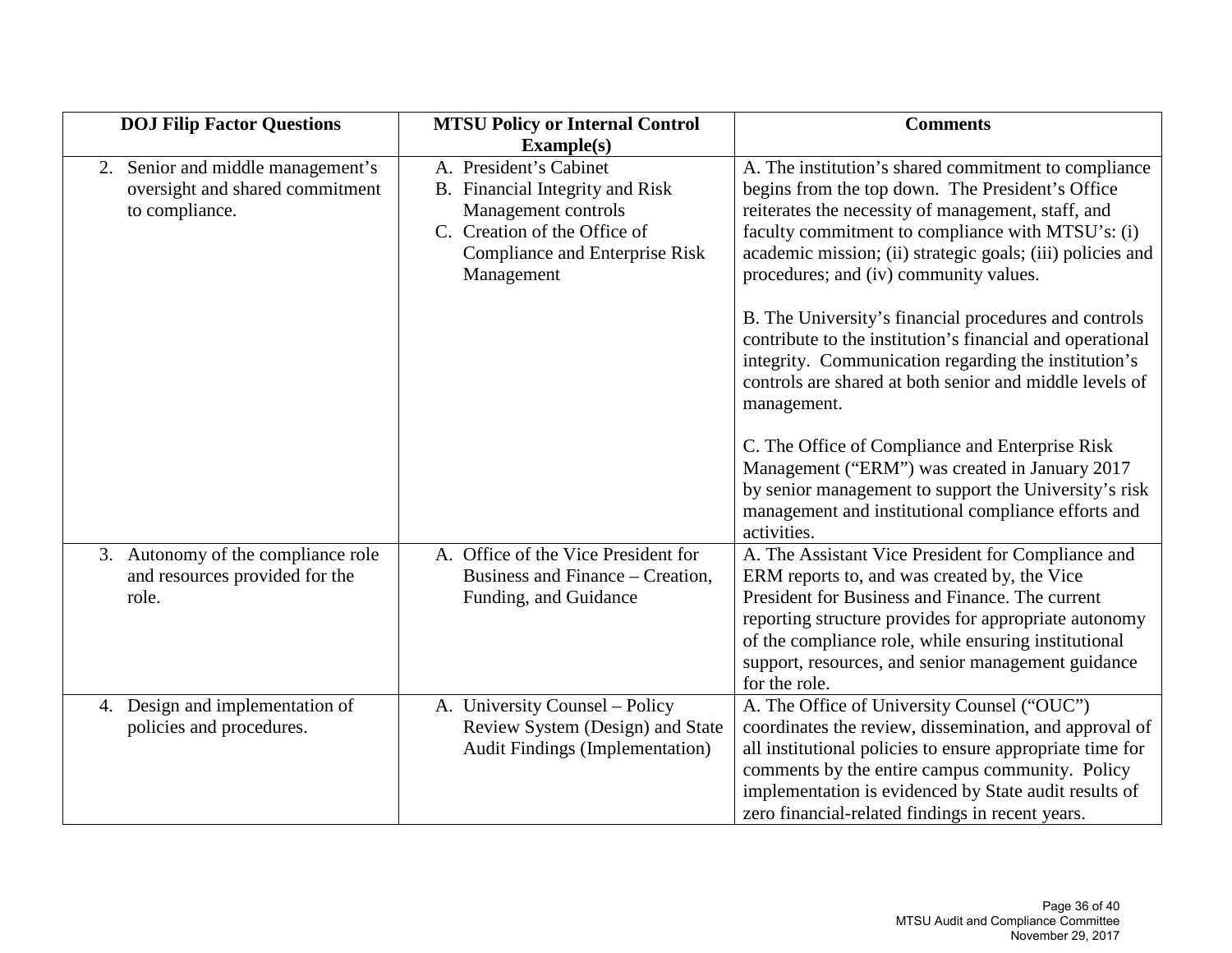| <b>DOJ Filip Factor Questions</b>                                                      | <b>MTSU Policy or Internal Control</b>                                                                                                                                  | <b>Comments</b>                                                                                                                                                                                                                                                                                                                                                                                                                                                                                                                                                                     |
|----------------------------------------------------------------------------------------|-------------------------------------------------------------------------------------------------------------------------------------------------------------------------|-------------------------------------------------------------------------------------------------------------------------------------------------------------------------------------------------------------------------------------------------------------------------------------------------------------------------------------------------------------------------------------------------------------------------------------------------------------------------------------------------------------------------------------------------------------------------------------|
|                                                                                        | Example(s)                                                                                                                                                              |                                                                                                                                                                                                                                                                                                                                                                                                                                                                                                                                                                                     |
| 2. Senior and middle management's<br>oversight and shared commitment<br>to compliance. | A. President's Cabinet<br>B. Financial Integrity and Risk<br>Management controls<br>C. Creation of the Office of<br><b>Compliance and Enterprise Risk</b><br>Management | A. The institution's shared commitment to compliance<br>begins from the top down. The President's Office<br>reiterates the necessity of management, staff, and<br>faculty commitment to compliance with MTSU's: (i)<br>academic mission; (ii) strategic goals; (iii) policies and<br>procedures; and (iv) community values.<br>B. The University's financial procedures and controls<br>contribute to the institution's financial and operational<br>integrity. Communication regarding the institution's<br>controls are shared at both senior and middle levels of<br>management. |
|                                                                                        |                                                                                                                                                                         | C. The Office of Compliance and Enterprise Risk<br>Management ("ERM") was created in January 2017<br>by senior management to support the University's risk<br>management and institutional compliance efforts and<br>activities.                                                                                                                                                                                                                                                                                                                                                    |
| 3. Autonomy of the compliance role<br>and resources provided for the<br>role.          | A. Office of the Vice President for<br>Business and Finance – Creation,<br>Funding, and Guidance                                                                        | A. The Assistant Vice President for Compliance and<br>ERM reports to, and was created by, the Vice<br>President for Business and Finance. The current<br>reporting structure provides for appropriate autonomy<br>of the compliance role, while ensuring institutional<br>support, resources, and senior management guidance<br>for the role.                                                                                                                                                                                                                                       |
| Design and implementation of<br>4.<br>policies and procedures.                         | A. University Counsel – Policy<br>Review System (Design) and State<br><b>Audit Findings (Implementation)</b>                                                            | A. The Office of University Counsel ("OUC")<br>coordinates the review, dissemination, and approval of<br>all institutional policies to ensure appropriate time for<br>comments by the entire campus community. Policy<br>implementation is evidenced by State audit results of<br>zero financial-related findings in recent years.                                                                                                                                                                                                                                                  |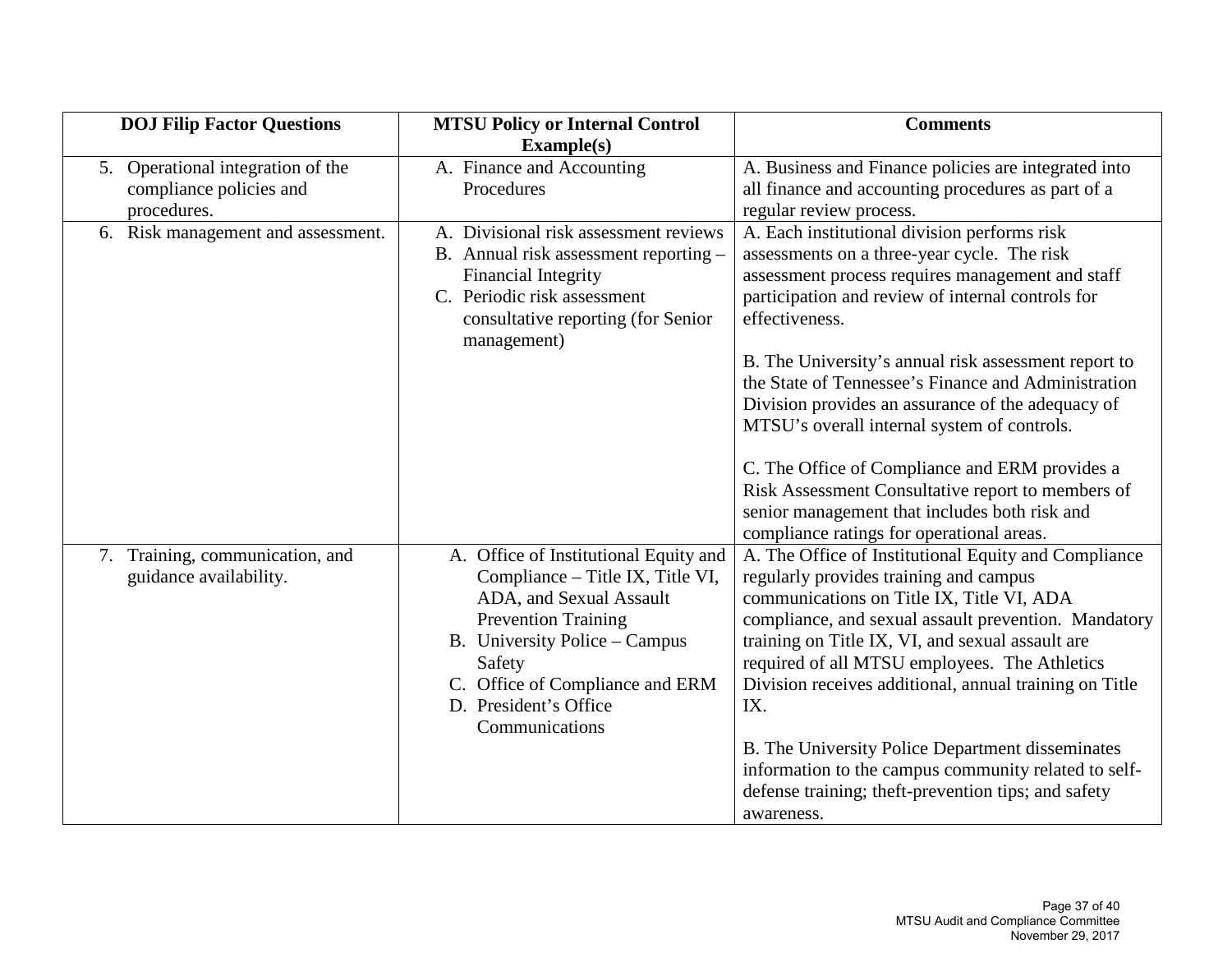| <b>DOJ Filip Factor Questions</b>                                           | <b>MTSU Policy or Internal Control</b>                                                                                                                                                                                                                      | <b>Comments</b>                                                                                                                                                                                                                                                                                                                                                                                                                                                                                                                                                                                                                                |
|-----------------------------------------------------------------------------|-------------------------------------------------------------------------------------------------------------------------------------------------------------------------------------------------------------------------------------------------------------|------------------------------------------------------------------------------------------------------------------------------------------------------------------------------------------------------------------------------------------------------------------------------------------------------------------------------------------------------------------------------------------------------------------------------------------------------------------------------------------------------------------------------------------------------------------------------------------------------------------------------------------------|
| 5. Operational integration of the<br>compliance policies and<br>procedures. | Example(s)<br>A. Finance and Accounting<br>Procedures                                                                                                                                                                                                       | A. Business and Finance policies are integrated into<br>all finance and accounting procedures as part of a<br>regular review process.                                                                                                                                                                                                                                                                                                                                                                                                                                                                                                          |
| 6. Risk management and assessment.                                          | A. Divisional risk assessment reviews<br>B. Annual risk assessment reporting –<br><b>Financial Integrity</b><br>C. Periodic risk assessment<br>consultative reporting (for Senior<br>management)                                                            | A. Each institutional division performs risk<br>assessments on a three-year cycle. The risk<br>assessment process requires management and staff<br>participation and review of internal controls for<br>effectiveness.<br>B. The University's annual risk assessment report to<br>the State of Tennessee's Finance and Administration<br>Division provides an assurance of the adequacy of<br>MTSU's overall internal system of controls.<br>C. The Office of Compliance and ERM provides a<br>Risk Assessment Consultative report to members of<br>senior management that includes both risk and<br>compliance ratings for operational areas. |
| Training, communication, and<br>7.<br>guidance availability.                | A. Office of Institutional Equity and<br>Compliance - Title IX, Title VI,<br>ADA, and Sexual Assault<br><b>Prevention Training</b><br>B. University Police – Campus<br>Safety<br>C. Office of Compliance and ERM<br>D. President's Office<br>Communications | A. The Office of Institutional Equity and Compliance<br>regularly provides training and campus<br>communications on Title IX, Title VI, ADA<br>compliance, and sexual assault prevention. Mandatory<br>training on Title IX, VI, and sexual assault are<br>required of all MTSU employees. The Athletics<br>Division receives additional, annual training on Title<br>IX.<br>B. The University Police Department disseminates<br>information to the campus community related to self-<br>defense training; theft-prevention tips; and safety<br>awareness.                                                                                     |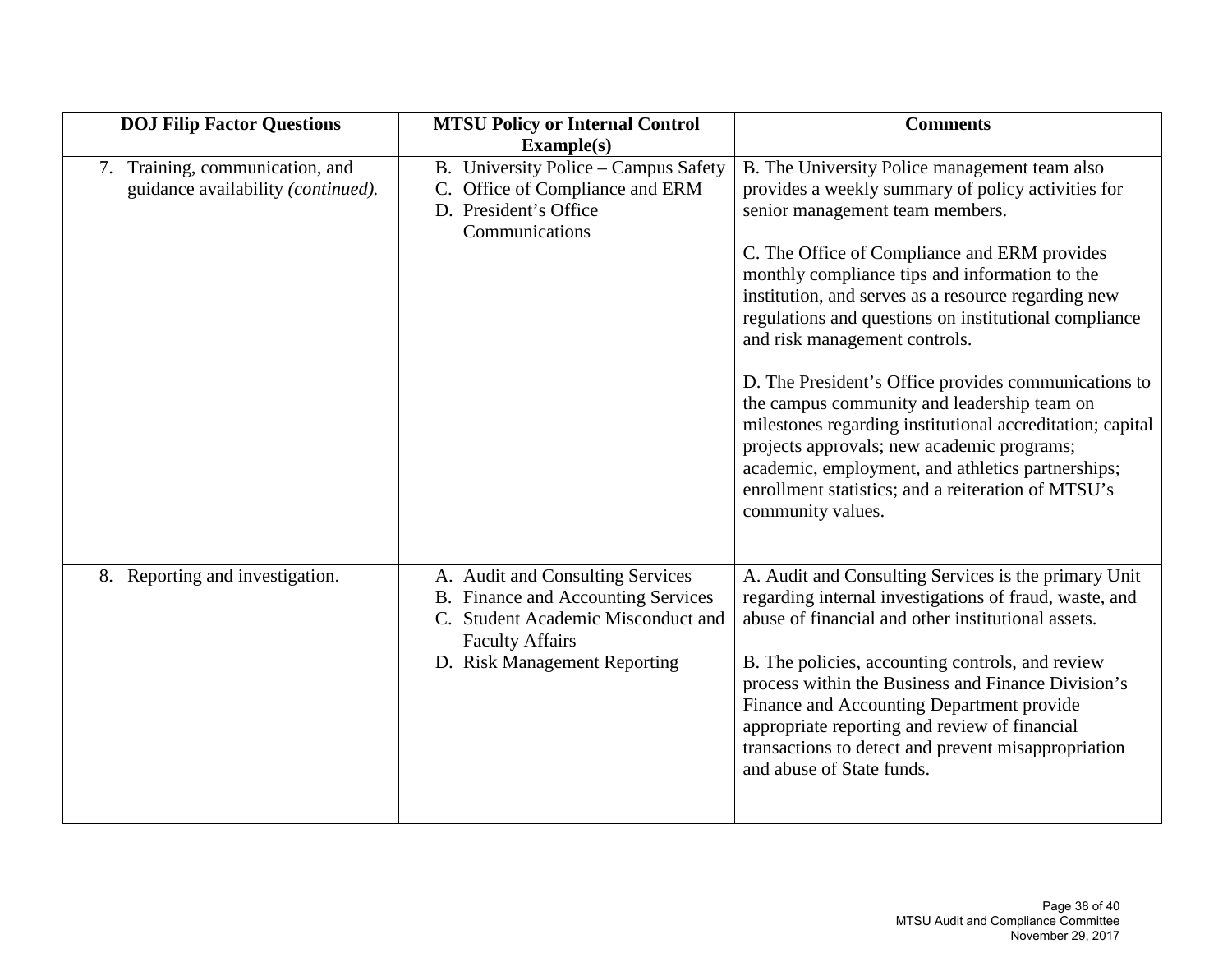| <b>DOJ Filip Factor Questions</b>                                     | <b>MTSU Policy or Internal Control</b><br>Example(s)                                                                                                                   | <b>Comments</b>                                                                                                                                                                                                                                                                                                                                                                                                                                                                                                                                                                                                                                                                                                                             |
|-----------------------------------------------------------------------|------------------------------------------------------------------------------------------------------------------------------------------------------------------------|---------------------------------------------------------------------------------------------------------------------------------------------------------------------------------------------------------------------------------------------------------------------------------------------------------------------------------------------------------------------------------------------------------------------------------------------------------------------------------------------------------------------------------------------------------------------------------------------------------------------------------------------------------------------------------------------------------------------------------------------|
| 7. Training, communication, and<br>guidance availability (continued). | B. University Police - Campus Safety<br>C. Office of Compliance and ERM<br>D. President's Office<br>Communications                                                     | B. The University Police management team also<br>provides a weekly summary of policy activities for<br>senior management team members.<br>C. The Office of Compliance and ERM provides<br>monthly compliance tips and information to the<br>institution, and serves as a resource regarding new<br>regulations and questions on institutional compliance<br>and risk management controls.<br>D. The President's Office provides communications to<br>the campus community and leadership team on<br>milestones regarding institutional accreditation; capital<br>projects approvals; new academic programs;<br>academic, employment, and athletics partnerships;<br>enrollment statistics; and a reiteration of MTSU's<br>community values. |
| 8. Reporting and investigation.                                       | A. Audit and Consulting Services<br>B. Finance and Accounting Services<br>C. Student Academic Misconduct and<br><b>Faculty Affairs</b><br>D. Risk Management Reporting | A. Audit and Consulting Services is the primary Unit<br>regarding internal investigations of fraud, waste, and<br>abuse of financial and other institutional assets.<br>B. The policies, accounting controls, and review<br>process within the Business and Finance Division's<br>Finance and Accounting Department provide<br>appropriate reporting and review of financial<br>transactions to detect and prevent misappropriation<br>and abuse of State funds.                                                                                                                                                                                                                                                                            |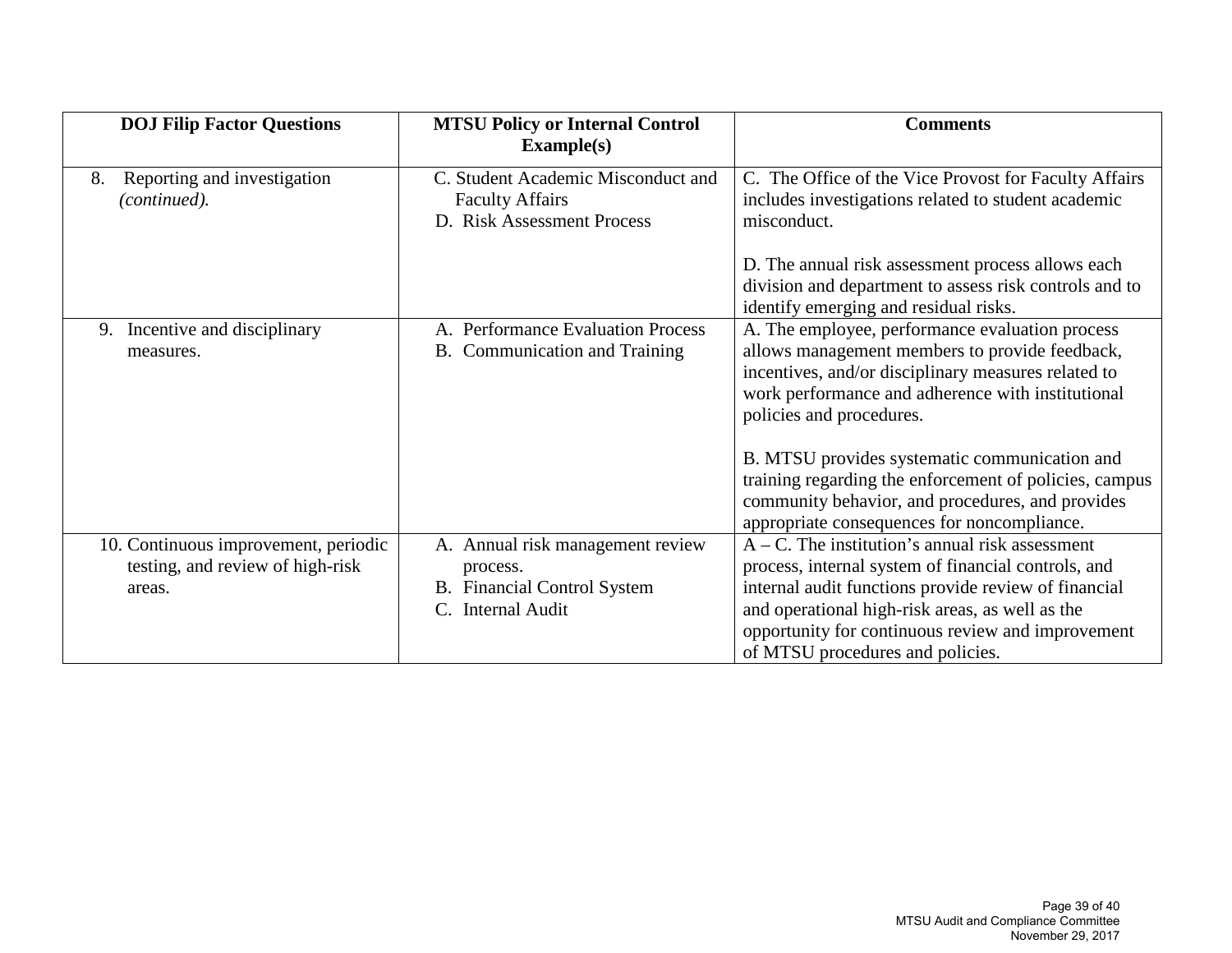| <b>DOJ Filip Factor Questions</b>                                                  | <b>MTSU Policy or Internal Control</b><br>Example(s)                                                    | <b>Comments</b>                                                                                                                                                                                                                                                                                                                                                                                                                                         |
|------------------------------------------------------------------------------------|---------------------------------------------------------------------------------------------------------|---------------------------------------------------------------------------------------------------------------------------------------------------------------------------------------------------------------------------------------------------------------------------------------------------------------------------------------------------------------------------------------------------------------------------------------------------------|
| Reporting and investigation<br>8.<br>(continued).                                  | C. Student Academic Misconduct and<br><b>Faculty Affairs</b><br>D. Risk Assessment Process              | C. The Office of the Vice Provost for Faculty Affairs<br>includes investigations related to student academic<br>misconduct.                                                                                                                                                                                                                                                                                                                             |
|                                                                                    |                                                                                                         | D. The annual risk assessment process allows each<br>division and department to assess risk controls and to<br>identify emerging and residual risks.                                                                                                                                                                                                                                                                                                    |
| Incentive and disciplinary<br>9.<br>measures.                                      | A. Performance Evaluation Process<br>B. Communication and Training                                      | A. The employee, performance evaluation process<br>allows management members to provide feedback,<br>incentives, and/or disciplinary measures related to<br>work performance and adherence with institutional<br>policies and procedures.<br>B. MTSU provides systematic communication and<br>training regarding the enforcement of policies, campus<br>community behavior, and procedures, and provides<br>appropriate consequences for noncompliance. |
| 10. Continuous improvement, periodic<br>testing, and review of high-risk<br>areas. | A. Annual risk management review<br>process.<br><b>B.</b> Financial Control System<br>C. Internal Audit | $A - C$ . The institution's annual risk assessment<br>process, internal system of financial controls, and<br>internal audit functions provide review of financial<br>and operational high-risk areas, as well as the<br>opportunity for continuous review and improvement<br>of MTSU procedures and policies.                                                                                                                                           |